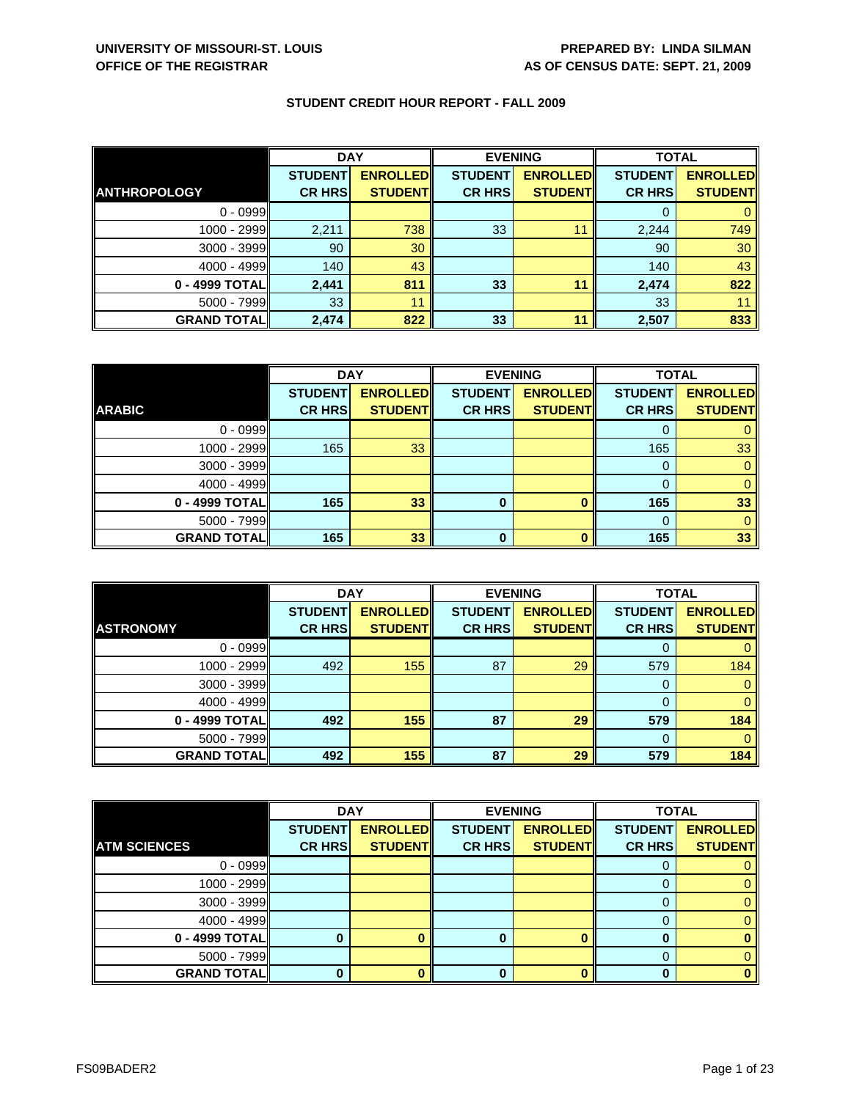|                     | <b>DAY</b>     |                 | <b>EVENING</b> |                 | <b>TOTAL</b>   |                 |
|---------------------|----------------|-----------------|----------------|-----------------|----------------|-----------------|
|                     | <b>STUDENT</b> | <b>ENROLLED</b> | <b>STUDENT</b> | <b>ENROLLED</b> | <b>STUDENT</b> | <b>ENROLLED</b> |
| <b>ANTHROPOLOGY</b> | <b>CR HRS</b>  | <b>STUDENT</b>  | <b>CR HRS</b>  | <b>STUDENT</b>  | <b>CR HRS</b>  | <b>STUDENT</b>  |
| $0 - 0999$          |                |                 |                |                 |                |                 |
| 1000 - 2999         | 2,211          | 738             | 33             |                 | 2,244          | 749             |
| $3000 - 3999$       | 90             | 30              |                |                 | 90             | 30              |
| $4000 - 4999$       | 140            | 43              |                |                 | 140            | 43              |
| 0 - 4999 TOTAL      | 2,441          | 811             | 33             | 11              | 2,474          | 822             |
| $5000 - 7999$       | 33             | 11              |                |                 | 33             |                 |
| <b>GRAND TOTAL</b>  | 2,474          | 822             | 33             | 11              | 2,507          | 833             |

|                    | <b>DAY</b>     |                 | <b>EVENING</b> |                 | <b>TOTAL</b>   |                 |
|--------------------|----------------|-----------------|----------------|-----------------|----------------|-----------------|
|                    | <b>STUDENT</b> | <b>ENROLLED</b> | <b>STUDENT</b> | <b>ENROLLED</b> | <b>STUDENT</b> | <b>ENROLLED</b> |
| <b>ARABIC</b>      | <b>CR HRS</b>  | <b>STUDENT</b>  | <b>CR HRS</b>  | <b>STUDENT</b>  | <b>CR HRS</b>  | <b>STUDENT</b>  |
| $0 - 0999$         |                |                 |                |                 |                |                 |
| $1000 - 2999$      | 165            | 33              |                |                 | 165            | 33              |
| $3000 - 3999$      |                |                 |                |                 |                |                 |
| $4000 - 4999$      |                |                 |                |                 |                |                 |
| $0 - 4999$ TOTAL   | 165            | 33              | 0              |                 | 165            | 33              |
| $5000 - 7999$      |                |                 |                |                 |                |                 |
| <b>GRAND TOTAL</b> | 165            | 33              | 0              |                 | 165            | 33              |

|                    | <b>DAY</b>     |                 | <b>EVENING</b> |                 | <b>TOTAL</b>   |                 |
|--------------------|----------------|-----------------|----------------|-----------------|----------------|-----------------|
|                    | <b>STUDENT</b> | <b>ENROLLED</b> | <b>STUDENT</b> | <b>ENROLLED</b> | <b>STUDENT</b> | <b>ENROLLED</b> |
| <b>ASTRONOMY</b>   | <b>CR HRS</b>  | <b>STUDENT</b>  | <b>CR HRS</b>  | <b>STUDENT</b>  | <b>CR HRS</b>  | <b>STUDENT</b>  |
| $0 - 0999$         |                |                 |                |                 |                |                 |
| 1000 - 2999        | 492            | 155             | 87             | 29              | 579            | 184             |
| $3000 - 3999$      |                |                 |                |                 | 0              |                 |
| $4000 - 4999$      |                |                 |                |                 |                |                 |
| 0 - 4999 TOTAL     | 492            | 155             | 87             | 29              | 579            | 184             |
| $5000 - 7999$      |                |                 |                |                 |                |                 |
| <b>GRAND TOTAL</b> | 492            | 155             | 87             | 29              | 579            | 184             |

|                     | <b>DAY</b>     |                 | <b>EVENING</b> |                 | <b>TOTAL</b>   |                 |
|---------------------|----------------|-----------------|----------------|-----------------|----------------|-----------------|
|                     | <b>STUDENT</b> | <b>ENROLLED</b> | <b>STUDENT</b> | <b>ENROLLED</b> | <b>STUDENT</b> | <b>ENROLLED</b> |
| <b>ATM SCIENCES</b> | <b>CR HRS</b>  | <b>STUDENT</b>  | <b>CR HRS</b>  | <b>STUDENT</b>  | <b>CR HRS</b>  | <b>STUDENT</b>  |
| $0 - 0999$          |                |                 |                |                 |                |                 |
| 1000 - 2999         |                |                 |                |                 |                |                 |
| 3000 - 3999         |                |                 |                |                 |                |                 |
| 4000 - 4999         |                |                 |                |                 |                |                 |
| 0 - 4999 TOTAL      |                |                 | 0              |                 |                |                 |
| 5000 - 7999         |                |                 |                |                 |                |                 |
| <b>GRAND TOTAL</b>  |                |                 | 0              |                 |                |                 |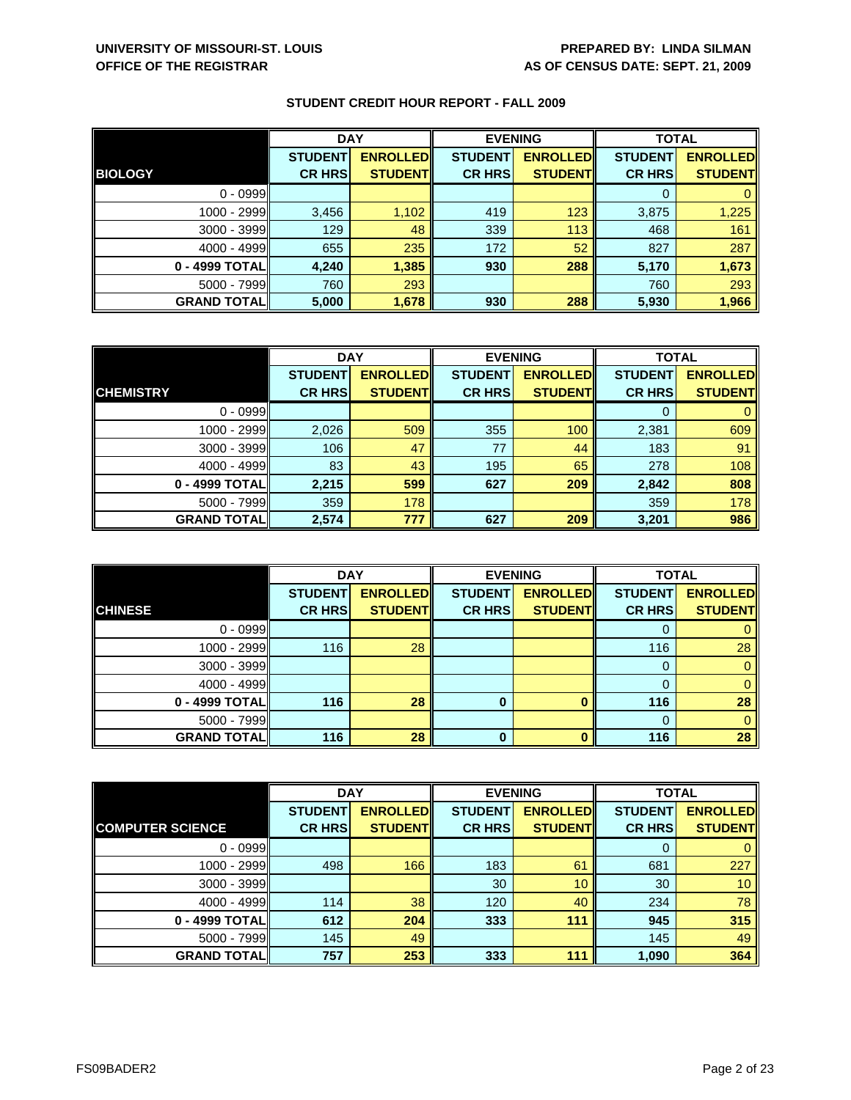|                    | <b>DAY</b>     |                 | <b>EVENING</b> |                 | <b>TOTAL</b>   |                 |
|--------------------|----------------|-----------------|----------------|-----------------|----------------|-----------------|
|                    | <b>STUDENT</b> | <b>ENROLLED</b> | <b>STUDENT</b> | <b>ENROLLED</b> | <b>STUDENT</b> | <b>ENROLLED</b> |
| <b>BIOLOGY</b>     | <b>CR HRS</b>  | <b>STUDENT</b>  | <b>CR HRS</b>  | <b>STUDENT</b>  | <b>CR HRS</b>  | <b>STUDENT</b>  |
| $0 - 0999$         |                |                 |                |                 |                |                 |
| 1000 - 2999        | 3,456          | 1,102           | 419            | 123             | 3,875          | 1,225           |
| $3000 - 3999$      | 129            | 48              | 339            | 113             | 468            | 161             |
| $4000 - 4999$      | 655            | 235             | 172            | 52              | 827            | 287             |
| 0 - 4999 TOTAL     | 4,240          | 1,385           | 930            | 288             | 5,170          | 1,673           |
| $5000 - 7999$      | 760            | 293             |                |                 | 760            | 293             |
| <b>GRAND TOTAL</b> | 5,000          | 1,678           | 930            | 288             | 5,930          | 1,966           |

|                    | <b>DAY</b>     |                 |                | <b>EVENING</b>  | <b>TOTAL</b>   |                 |
|--------------------|----------------|-----------------|----------------|-----------------|----------------|-----------------|
|                    | <b>STUDENT</b> | <b>ENROLLED</b> | <b>STUDENT</b> | <b>ENROLLED</b> | <b>STUDENT</b> | <b>ENROLLED</b> |
| <b>CHEMISTRY</b>   | <b>CR HRS</b>  | <b>STUDENTI</b> | <b>CR HRS</b>  | <b>STUDENT</b>  | <b>CR HRS</b>  | <b>STUDENT</b>  |
| $0 - 0999$         |                |                 |                |                 | 0              | $\mathbf{0}$    |
| 1000 - 2999        | 2,026          | 509             | 355            | 100             | 2,381          | 609             |
| 3000 - 3999        | 106            | 47              | 77             | 44              | 183            | 91              |
| $4000 - 4999$      | 83             | 43              | 195            | 65              | 278            | 108             |
| 0 - 4999 TOTAL     | 2,215          | 599             | 627            | 209             | 2,842          | 808             |
| $5000 - 7999$      | 359            | 178             |                |                 | 359            | 178             |
| <b>GRAND TOTAL</b> | 2,574          | 777             | 627            | 209             | 3,201          | 986             |

|                    | <b>DAY</b>                      |                                   | <b>EVENING</b>                  |                                   | <b>TOTAL</b>                    |                                   |
|--------------------|---------------------------------|-----------------------------------|---------------------------------|-----------------------------------|---------------------------------|-----------------------------------|
| <b>CHINESE</b>     | <b>STUDENT</b><br><b>CR HRS</b> | <b>ENROLLED</b><br><b>STUDENT</b> | <b>STUDENT</b><br><b>CR HRS</b> | <b>ENROLLED</b><br><b>STUDENT</b> | <b>STUDENT</b><br><b>CR HRS</b> | <b>ENROLLED</b><br><b>STUDENT</b> |
|                    |                                 |                                   |                                 |                                   |                                 |                                   |
| $0 - 0999$         |                                 |                                   |                                 |                                   |                                 |                                   |
| $1000 - 2999$      | 116                             | 28                                |                                 |                                   | 116                             | 28                                |
| $3000 - 3999$      |                                 |                                   |                                 |                                   | $\Omega$                        |                                   |
| $4000 - 4999$      |                                 |                                   |                                 |                                   |                                 |                                   |
| 0 - 4999 TOTAL     | 116                             | 28                                | 0                               |                                   | 116                             | 28                                |
| $5000 - 7999$      |                                 |                                   |                                 |                                   | $\Omega$                        |                                   |
| <b>GRAND TOTAL</b> | 116                             | 28                                | 0                               |                                   | 116                             | 28                                |

|                         | <b>DAY</b>     |                 | <b>EVENING</b>  |                 | <b>TOTAL</b>   |                 |
|-------------------------|----------------|-----------------|-----------------|-----------------|----------------|-----------------|
|                         | <b>STUDENT</b> | <b>ENROLLED</b> | <b>STUDENT</b>  | <b>ENROLLED</b> | <b>STUDENT</b> | <b>ENROLLED</b> |
| <b>COMPUTER SCIENCE</b> | <b>CR HRS</b>  | <b>STUDENT</b>  | <b>CR HRS</b>   | <b>STUDENT</b>  | <b>CR HRS</b>  | <b>STUDENT</b>  |
| $0 - 0999$              |                |                 |                 |                 | 0              | $\mathbf{0}$    |
| 1000 - 2999             | 498            | 166             | 183             | 61              | 681            | 227             |
| 3000 - 3999             |                |                 | 30 <sup>°</sup> | 10              | 30             | 10 <sup>°</sup> |
| $4000 - 4999$           | 114            | 38              | 120             | 40              | 234            | 78              |
| 0 - 4999 TOTAL          | 612            | 204             | 333             | 111             | 945            | 315             |
| $5000 - 7999$           | 145            | 49              |                 |                 | 145            | 49              |
| <b>GRAND TOTAL</b>      | 757            | 253             | 333             | 111             | 1,090          | 364             |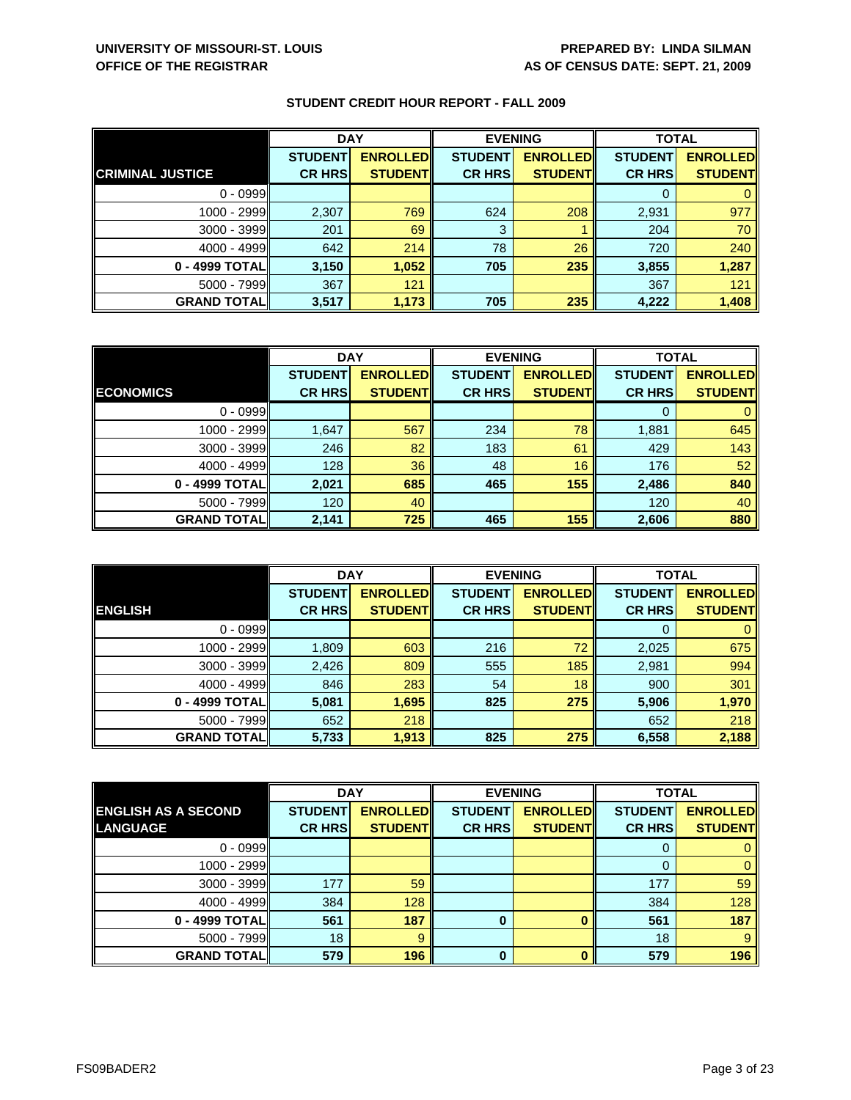|                         | <b>DAY</b>     |                  | <b>EVENING</b> |                 | <b>TOTAL</b>   |                 |
|-------------------------|----------------|------------------|----------------|-----------------|----------------|-----------------|
|                         | <b>STUDENT</b> | <b>ENROLLEDI</b> | <b>STUDENT</b> | <b>ENROLLED</b> | <b>STUDENT</b> | <b>ENROLLED</b> |
| <b>CRIMINAL JUSTICE</b> | <b>CR HRS</b>  | <b>STUDENTI</b>  | <b>CR HRS</b>  | <b>STUDENT</b>  | <b>CR HRS</b>  | <b>STUDENT</b>  |
| $0 - 0999$              |                |                  |                |                 |                |                 |
| 1000 - 2999             | 2,307          | 769              | 624            | 208             | 2,931          | 977             |
| 3000 - 3999             | 201            | 69               | 3              |                 | 204            | 70              |
| $4000 - 4999$           | 642            | 214              | 78             | 26              | 720            | 240             |
| 0 - 4999 TOTAL          | 3,150          | 1,052            | 705            | 235             | 3,855          | 1,287           |
| 5000 - 7999             | 367            | 121              |                |                 | 367            | 121             |
| <b>GRAND TOTAL</b>      | 3,517          | 1,173            | 705            | 235             | 4,222          | 1,408           |

|                    | <b>DAY</b>     |                 | <b>EVENING</b> |                 | <b>TOTAL</b>   |                 |
|--------------------|----------------|-----------------|----------------|-----------------|----------------|-----------------|
|                    | <b>STUDENT</b> | <b>ENROLLED</b> | <b>STUDENT</b> | <b>ENROLLED</b> | <b>STUDENT</b> | <b>ENROLLED</b> |
| <b>ECONOMICS</b>   | <b>CR HRS</b>  | <b>STUDENT</b>  | <b>CR HRS</b>  | <b>STUDENT</b>  | <b>CR HRS</b>  | <b>STUDENT</b>  |
| $0 - 0999$         |                |                 |                |                 |                |                 |
| 1000 - 2999        | 1,647          | 567             | 234            | 78              | 1,881          | 645             |
| $3000 - 3999$      | 246            | 82              | 183            | 61              | 429            | 143             |
| $4000 - 4999$      | 128            | 36              | 48             | 16              | 176            | 52              |
| 0 - 4999 TOTAL     | 2,021          | 685             | 465            | 155             | 2,486          | 840             |
| $5000 - 7999$      | 120            | 40              |                |                 | 120            | 40              |
| <b>GRAND TOTAL</b> | 2,141          | 725             | 465            | 155             | 2,606          | 880             |

|                     | <b>DAY</b>     |                 |                | <b>EVENING</b>  | <b>TOTAL</b>   |                 |
|---------------------|----------------|-----------------|----------------|-----------------|----------------|-----------------|
|                     | <b>STUDENT</b> | <b>ENROLLED</b> | <b>STUDENT</b> | <b>ENROLLED</b> | <b>STUDENT</b> | <b>ENROLLED</b> |
| <b>ENGLISH</b>      | <b>CR HRS</b>  | <b>STUDENT</b>  | <b>CR HRS</b>  | <b>STUDENT</b>  | <b>CR HRS</b>  | <b>STUDENT</b>  |
| $0 - 0999$          |                |                 |                |                 | O              |                 |
| 1000 - 2999         | 1,809          | 603             | 216            | 72              | 2,025          | 675             |
| $3000 - 3999$       | 2,426          | 809             | 555            | 185             | 2,981          | 994             |
| $4000 - 4999$       | 846            | 283             | 54             | 18              | 900            | 301             |
| 0 - 4999 TOTAL      | 5,081          | 1,695           | 825            | 275             | 5,906          | 1,970           |
| $5000 - 7999$       | 652            | 218             |                |                 | 652            | 218             |
| <b>GRAND TOTALI</b> | 5,733          | 1,913           | 825            | 275             | 6,558          | 2,188           |

|                            | <b>DAY</b>     |                 |                | <b>EVENING</b>  | <b>TOTAL</b>   |                 |
|----------------------------|----------------|-----------------|----------------|-----------------|----------------|-----------------|
| <b>ENGLISH AS A SECOND</b> | <b>STUDENT</b> | <b>ENROLLED</b> | <b>STUDENT</b> | <b>ENROLLED</b> | <b>STUDENT</b> | <b>ENROLLED</b> |
| LANGUAGE                   | <b>CR HRS</b>  | <b>STUDENT</b>  | <b>CR HRS</b>  | <b>STUDENT</b>  | <b>CR HRS</b>  | <b>STUDENT</b>  |
| $0 - 0999$                 |                |                 |                |                 | O              | 0               |
| 1000 - 2999                |                |                 |                |                 | 0              | 0               |
| $3000 - 3999$              | 177            | 59              |                |                 | 177            | 59              |
| $4000 - 4999$              | 384            | 128             |                |                 | 384            | 128             |
| 0 - 4999 TOTAL             | 561            | 187             | 0              |                 | 561            | 187             |
| $5000 - 7999$              | 18             | 9               |                |                 | 18             | 9               |
| <b>GRAND TOTAL</b>         | 579            | 196             | $\bf{0}$       | n               | 579            | 196             |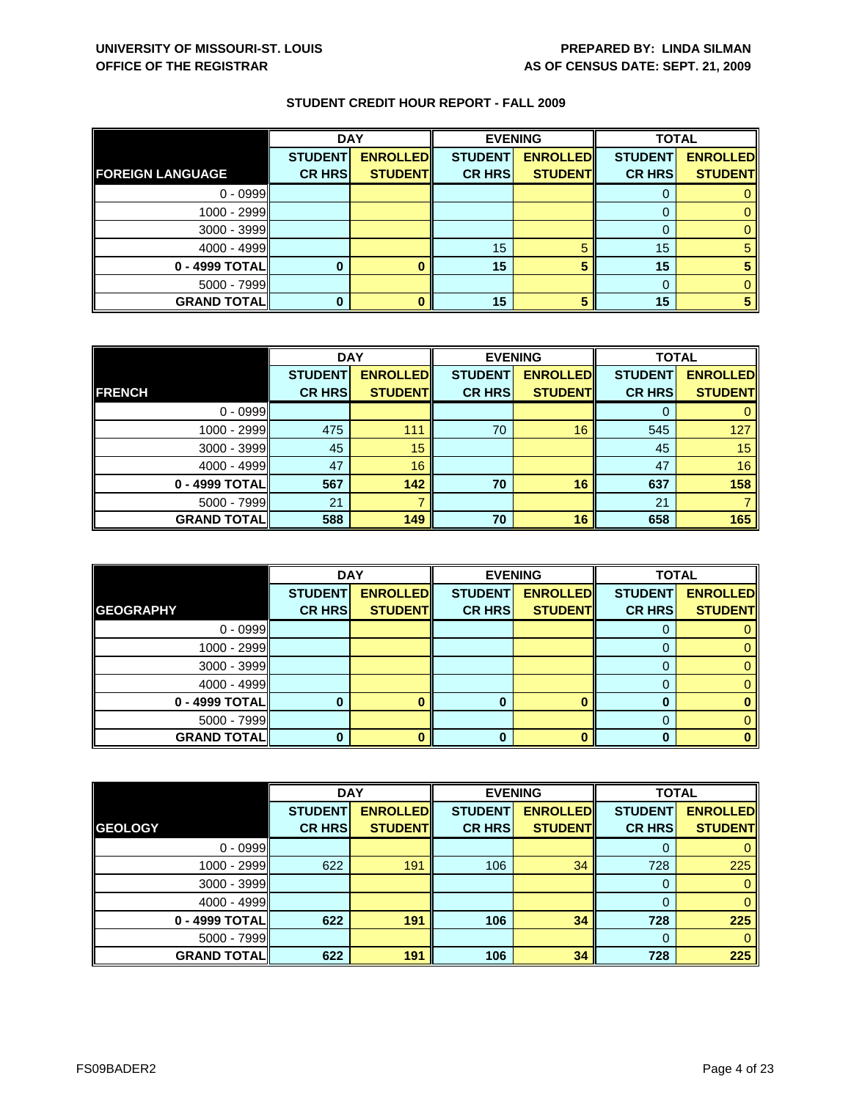|                         | <b>DAY</b>                      |                                   | <b>EVENING</b>                  |                                   | <b>TOTAL</b>                    |                                   |
|-------------------------|---------------------------------|-----------------------------------|---------------------------------|-----------------------------------|---------------------------------|-----------------------------------|
| <b>FOREIGN LANGUAGE</b> | <b>STUDENT</b><br><b>CR HRS</b> | <b>ENROLLED</b><br><b>STUDENT</b> | <b>STUDENT</b><br><b>CR HRS</b> | <b>ENROLLED</b><br><b>STUDENT</b> | <b>STUDENT</b><br><b>CR HRS</b> | <b>ENROLLED</b><br><b>STUDENT</b> |
| $0 - 0999$              |                                 |                                   |                                 |                                   |                                 |                                   |
|                         |                                 |                                   |                                 |                                   |                                 |                                   |
| 1000 - 2999             |                                 |                                   |                                 |                                   |                                 |                                   |
| $3000 - 3999$           |                                 |                                   |                                 |                                   |                                 |                                   |
| $4000 - 4999$           |                                 |                                   | 15                              |                                   | 15                              |                                   |
| 0 - 4999 TOTAL          |                                 |                                   | 15                              |                                   | 15                              |                                   |
| 5000 - 7999             |                                 |                                   |                                 |                                   |                                 |                                   |
| <b>GRAND TOTAL</b>      |                                 |                                   | 15                              |                                   | 15                              |                                   |

|                    | <b>DAY</b>     |                  |                | <b>EVENING</b>  | <b>TOTAL</b>   |                 |
|--------------------|----------------|------------------|----------------|-----------------|----------------|-----------------|
|                    | <b>STUDENT</b> | <b>ENROLLEDI</b> | <b>STUDENT</b> | <b>ENROLLED</b> | <b>STUDENT</b> | <b>ENROLLED</b> |
| <b>FRENCH</b>      | <b>CR HRS</b>  | <b>STUDENT</b>   | <b>CR HRS</b>  | <b>STUDENT</b>  | <b>CR HRS</b>  | <b>STUDENT</b>  |
| $0 - 0999$         |                |                  |                |                 |                |                 |
| 1000 - 2999        | 475            | 111              | 70             | 16              | 545            | 127             |
| 3000 - 3999        | 45             | 15               |                |                 | 45             | 15              |
| $4000 - 4999$      | 47             | 16               |                |                 | 47             | 16              |
| 0 - 4999 TOTAL     | 567            | 142              | 70             | 16              | 637            | 158             |
| $5000 - 7999$      | 21             |                  |                |                 | 21             |                 |
| <b>GRAND TOTAL</b> | 588            | 149              | 70             | 16              | 658            | 165             |

|                    | <b>DAY</b>                      |                                   |                                 | <b>EVENING</b>                    | <b>TOTAL</b>                    |                                   |
|--------------------|---------------------------------|-----------------------------------|---------------------------------|-----------------------------------|---------------------------------|-----------------------------------|
| <b>GEOGRAPHY</b>   | <b>STUDENT</b><br><b>CR HRS</b> | <b>ENROLLED</b><br><b>STUDENT</b> | <b>STUDENT</b><br><b>CR HRS</b> | <b>ENROLLED</b><br><b>STUDENT</b> | <b>STUDENT</b><br><b>CR HRS</b> | <b>ENROLLED</b><br><b>STUDENT</b> |
|                    |                                 |                                   |                                 |                                   |                                 |                                   |
| $0 - 0999$         |                                 |                                   |                                 |                                   | O                               |                                   |
| 1000 - 2999        |                                 |                                   |                                 |                                   |                                 |                                   |
| $3000 - 3999$      |                                 |                                   |                                 |                                   |                                 |                                   |
| $4000 - 4999$      |                                 |                                   |                                 |                                   | 0                               |                                   |
| 0 - 4999 TOTAL     |                                 |                                   |                                 | ∩                                 |                                 |                                   |
| $5000 - 7999$      |                                 |                                   |                                 |                                   |                                 |                                   |
| <b>GRAND TOTAL</b> |                                 |                                   | 0                               |                                   |                                 |                                   |

|                    | <b>DAY</b>     |                 | <b>EVENING</b> |                 | <b>TOTAL</b>   |                 |
|--------------------|----------------|-----------------|----------------|-----------------|----------------|-----------------|
|                    | <b>STUDENT</b> | <b>ENROLLED</b> | <b>STUDENT</b> | <b>ENROLLED</b> | <b>STUDENT</b> | <b>ENROLLED</b> |
| <b>GEOLOGY</b>     | <b>CR HRS</b>  | <b>STUDENT</b>  | <b>CR HRS</b>  | <b>STUDENT</b>  | <b>CR HRS</b>  | <b>STUDENT</b>  |
| $0 - 0999$         |                |                 |                |                 | 0              | $\mathbf{0}$    |
| 1000 - 2999        | 622            | 191             | 106            | 34              | 728            | 225             |
| $3000 - 3999$      |                |                 |                |                 | 0              | $\mathbf{0}$    |
| $4000 - 4999$      |                |                 |                |                 | $\Omega$       | $\mathbf{0}$    |
| 0 - 4999 TOTAL     | 622            | 191             | 106            | 34              | 728            | 225             |
| $5000 - 7999$      |                |                 |                |                 | 0              | $\mathbf{0}$    |
| <b>GRAND TOTAL</b> | 622            | 191             | 106            | 34              | 728            | 225             |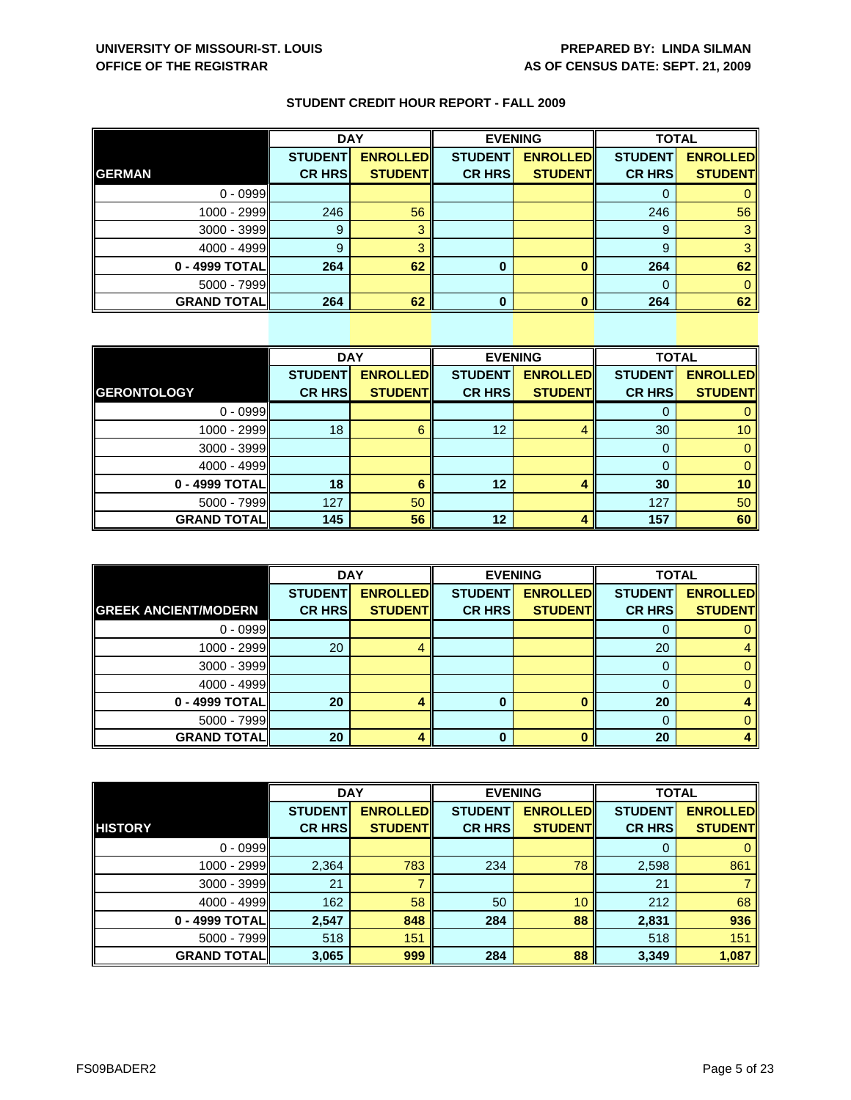|                    | <b>DAY</b>     |                 | <b>EVENING</b> |                 | <b>TOTAL</b>   |                 |
|--------------------|----------------|-----------------|----------------|-----------------|----------------|-----------------|
|                    | <b>STUDENT</b> | <b>ENROLLED</b> | <b>STUDENT</b> | <b>ENROLLED</b> | <b>STUDENT</b> | <b>ENROLLED</b> |
| <b>GERMAN</b>      | <b>CR HRS</b>  | <b>STUDENT</b>  | <b>CR HRS</b>  | <b>STUDENT</b>  | <b>CR HRS</b>  | <b>STUDENT</b>  |
| $0 - 0999$         |                |                 |                |                 |                |                 |
| 1000 - 2999        | 246            | 56              |                |                 | 246            | 56              |
| 3000 - 3999        | 9              |                 |                |                 | 9              |                 |
| $4000 - 4999$      | 9              |                 |                |                 | 9              |                 |
| 0 - 4999 TOTAL     | 264            | 62              | 0              |                 | 264            | 62              |
| $5000 - 7999$      |                |                 |                |                 |                |                 |
| <b>GRAND TOTAL</b> | 264            | 62              | 0              |                 | 264            | 62              |

|                     | <b>DAY</b>     |                 |                | <b>EVENING</b>  | <b>TOTAL</b>   |                 |
|---------------------|----------------|-----------------|----------------|-----------------|----------------|-----------------|
|                     | <b>STUDENT</b> | <b>ENROLLED</b> | <b>STUDENT</b> | <b>ENROLLED</b> | <b>STUDENT</b> | <b>ENROLLED</b> |
| <b>GERONTOLOGY</b>  | <b>CR HRS</b>  | <b>STUDENT</b>  | <b>CR HRS</b>  | <b>STUDENT</b>  | <b>CR HRS</b>  | <b>STUDENT</b>  |
| $0 - 0999$          |                |                 |                |                 | 0              | 0               |
| $1000 - 2999$       | 18             | 6               | 12             | 4               | 30             | 10              |
| $3000 - 3999$       |                |                 |                |                 | 0              | $\mathbf{0}$    |
| $4000 - 4999$       |                |                 |                |                 | 0              | $\mathbf 0$     |
| 0 - 4999 TOTAL      | 18             | 6               | 12             |                 | 30             | 10              |
| $5000 - 7999$       | 127            | 50              |                |                 | 127            | 50              |
| <b>GRAND TOTALI</b> | 145            | 56              | 12             |                 | 157            | 60              |

|                             | <b>DAY</b>     |                 |                | <b>EVENING</b>  | <b>TOTAL</b>   |                 |
|-----------------------------|----------------|-----------------|----------------|-----------------|----------------|-----------------|
|                             | <b>STUDENT</b> | <b>ENROLLED</b> | <b>STUDENT</b> | <b>ENROLLED</b> | <b>STUDENT</b> | <b>ENROLLED</b> |
| <b>GREEK ANCIENT/MODERN</b> | <b>CR HRS</b>  | <b>STUDENT</b>  | <b>CR HRS</b>  | <b>STUDENT</b>  | <b>CR HRS</b>  | <b>STUDENT</b>  |
| $0 - 0999$                  |                |                 |                |                 | O              | 0               |
| 1000 - 2999                 | 20             |                 |                |                 | 20             | 4               |
| $3000 - 3999$               |                |                 |                |                 | 0              | 0               |
| $4000 - 4999$               |                |                 |                |                 | 0              | 0               |
| 0 - 4999 TOTAL              | 20             |                 | 0              |                 | 20             |                 |
| $5000 - 7999$               |                |                 |                |                 | 0              | 0               |
| <b>GRAND TOTALI</b>         | 20             |                 | $\bf{0}$       |                 | 20             |                 |

|                    | <b>DAY</b>     |                 |                | <b>EVENING</b>  | <b>TOTAL</b>   |                 |
|--------------------|----------------|-----------------|----------------|-----------------|----------------|-----------------|
|                    | <b>STUDENT</b> | <b>ENROLLED</b> | <b>STUDENT</b> | <b>ENROLLED</b> | <b>STUDENT</b> | <b>ENROLLED</b> |
| <b>HISTORY</b>     | <b>CR HRS</b>  | <b>STUDENT</b>  | <b>CR HRS</b>  | <b>STUDENT</b>  | <b>CR HRS</b>  | <b>STUDENT</b>  |
| $0 - 0999$         |                |                 |                |                 | 0              | $\mathbf{0}$    |
| 1000 - 2999        | 2,364          | 783             | 234            | 78              | 2,598          | 861             |
| $3000 - 3999$      | 21             |                 |                |                 | 21             |                 |
| $4000 - 4999$      | 162            | 58              | 50             | 10 <sup>°</sup> | 212            | 68              |
| 0 - 4999 TOTAL     | 2,547          | 848             | 284            | 88              | 2,831          | 936             |
| $5000 - 7999$      | 518            | 151             |                |                 | 518            | 151             |
| <b>GRAND TOTAL</b> | 3,065          | 999             | 284            | 88              | 3,349          | 1,087           |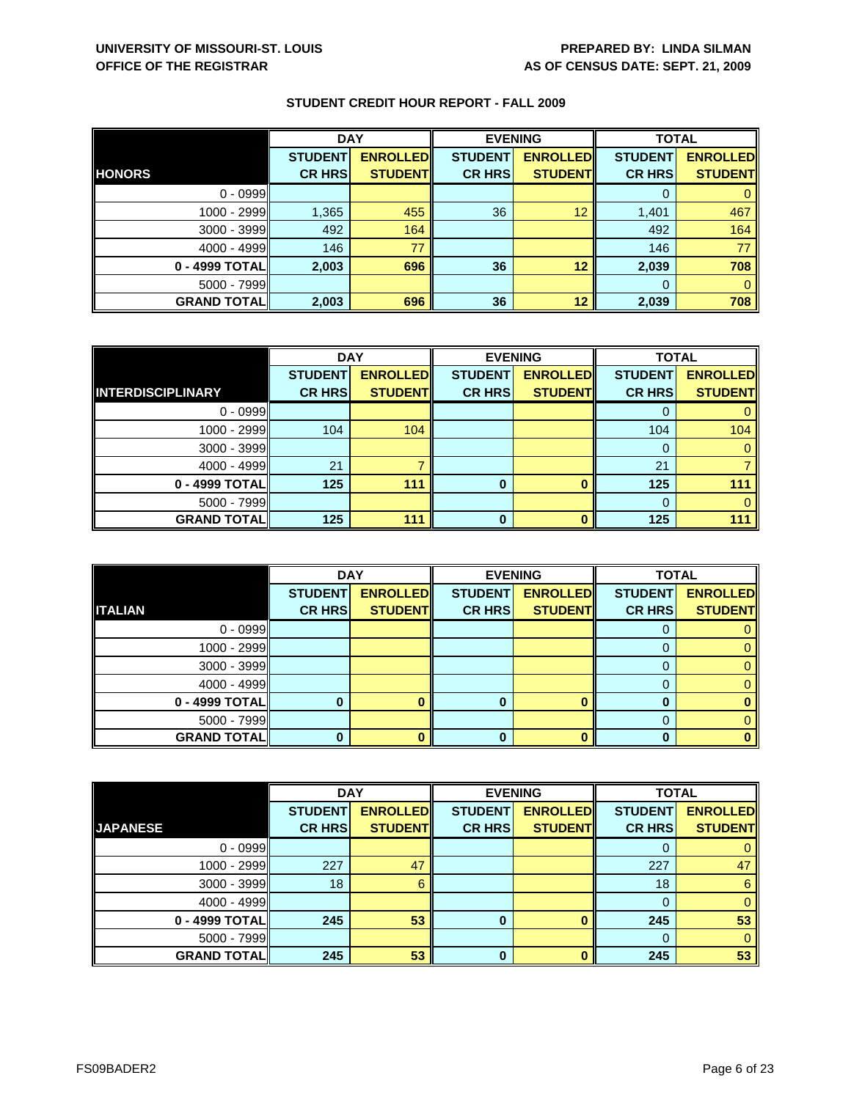|                    | <b>DAY</b>     |                 | <b>EVENING</b> |                 | <b>TOTAL</b>   |                 |
|--------------------|----------------|-----------------|----------------|-----------------|----------------|-----------------|
|                    | <b>STUDENT</b> | <b>ENROLLED</b> | <b>STUDENT</b> | <b>ENROLLED</b> | <b>STUDENT</b> | <b>ENROLLED</b> |
| <b>HONORS</b>      | <b>CR HRS</b>  | <b>STUDENT</b>  | <b>CR HRS</b>  | <b>STUDENT</b>  | <b>CR HRS</b>  | <b>STUDENT</b>  |
| $0 - 0999$         |                |                 |                |                 |                |                 |
| 1000 - 2999        | 1,365          | 455             | 36             | 12              | 1,401          | 467             |
| 3000 - 3999        | 492            | 164             |                |                 | 492            | 164             |
| $4000 - 4999$      | 146            | 77              |                |                 | 146            | 77              |
| 0 - 4999 TOTAL     | 2,003          | 696             | 36             | 12              | 2,039          | 708             |
| $5000 - 7999$      |                |                 |                |                 | $\Omega$       |                 |
| <b>GRAND TOTAL</b> | 2,003          | 696             | 36             | 12              | 2,039          | 708             |

|                          | <b>DAY</b>     |                 | <b>EVENING</b> |                 | <b>TOTAL</b>   |                 |
|--------------------------|----------------|-----------------|----------------|-----------------|----------------|-----------------|
|                          | <b>STUDENT</b> | <b>ENROLLED</b> | <b>STUDENT</b> | <b>ENROLLED</b> | <b>STUDENT</b> | <b>ENROLLED</b> |
| <b>INTERDISCIPLINARY</b> | <b>CR HRS</b>  | <b>STUDENT</b>  | <b>CR HRS</b>  | <b>STUDENT</b>  | <b>CR HRS</b>  | <b>STUDENT</b>  |
| $0 - 0999$               |                |                 |                |                 |                |                 |
| 1000 - 2999              | 104            | 104             |                |                 | 104            | 104             |
| $3000 - 3999$            |                |                 |                |                 |                |                 |
| $4000 - 4999$            | 21             |                 |                |                 | 21             |                 |
| 0 - 4999 TOTAL           | 125            | 111             | 0              | $\mathbf{0}$    | 125            | 111             |
| $5000 - 7999$            |                |                 |                |                 | $\Omega$       |                 |
| <b>GRAND TOTAL</b>       | 125            | 111             | ŋ              | n               | 125            | 111             |

|                    | <b>DAY</b>     |                 |                | <b>EVENING</b>  | <b>TOTAL</b>   |                 |
|--------------------|----------------|-----------------|----------------|-----------------|----------------|-----------------|
|                    | <b>STUDENT</b> | <b>ENROLLED</b> | <b>STUDENT</b> | <b>ENROLLED</b> | <b>STUDENT</b> | <b>ENROLLED</b> |
| <b>ITALIAN</b>     | <b>CR HRS</b>  | <b>STUDENT</b>  | <b>CR HRS</b>  | <b>STUDENT</b>  | <b>CR HRS</b>  | <b>STUDENT</b>  |
| $0 - 0999$         |                |                 |                |                 | O              |                 |
| 1000 - 2999        |                |                 |                |                 |                |                 |
| $3000 - 3999$      |                |                 |                |                 |                |                 |
| $4000 - 4999$      |                |                 |                |                 | 0              |                 |
| 0 - 4999 TOTAL     |                |                 |                | ∩               |                |                 |
| $5000 - 7999$      |                |                 |                |                 |                |                 |
| <b>GRAND TOTAL</b> |                |                 | 0              |                 | O              |                 |

|                    | <b>DAY</b>     |                 | <b>EVENING</b> |                 | <b>TOTAL</b>   |                 |
|--------------------|----------------|-----------------|----------------|-----------------|----------------|-----------------|
|                    | <b>STUDENT</b> | <b>ENROLLED</b> | <b>STUDENT</b> | <b>ENROLLED</b> | <b>STUDENT</b> | <b>ENROLLED</b> |
| <b>JAPANESE</b>    | <b>CR HRS</b>  | <b>STUDENT</b>  | <b>CR HRS</b>  | <b>STUDENT</b>  | <b>CR HRS</b>  | <b>STUDENT</b>  |
| $0 - 0999$         |                |                 |                |                 | 0              | $\mathbf{0}$    |
| 1000 - 2999        | 227            | 47              |                |                 | 227            | 47              |
| 3000 - 3999        | 18             | 6               |                |                 | 18             | $6\phantom{1}$  |
| $4000 - 4999$      |                |                 |                |                 | $\Omega$       | $\mathbf{0}$    |
| 0 - 4999 TOTAL     | 245            | 53              | $\bf{0}$       | O               | 245            | 53              |
| $5000 - 7999$      |                |                 |                |                 | $\Omega$       | $\mathbf{0}$    |
| <b>GRAND TOTAL</b> | 245            | 53              | 0              | $\mathbf{0}$    | 245            | 53              |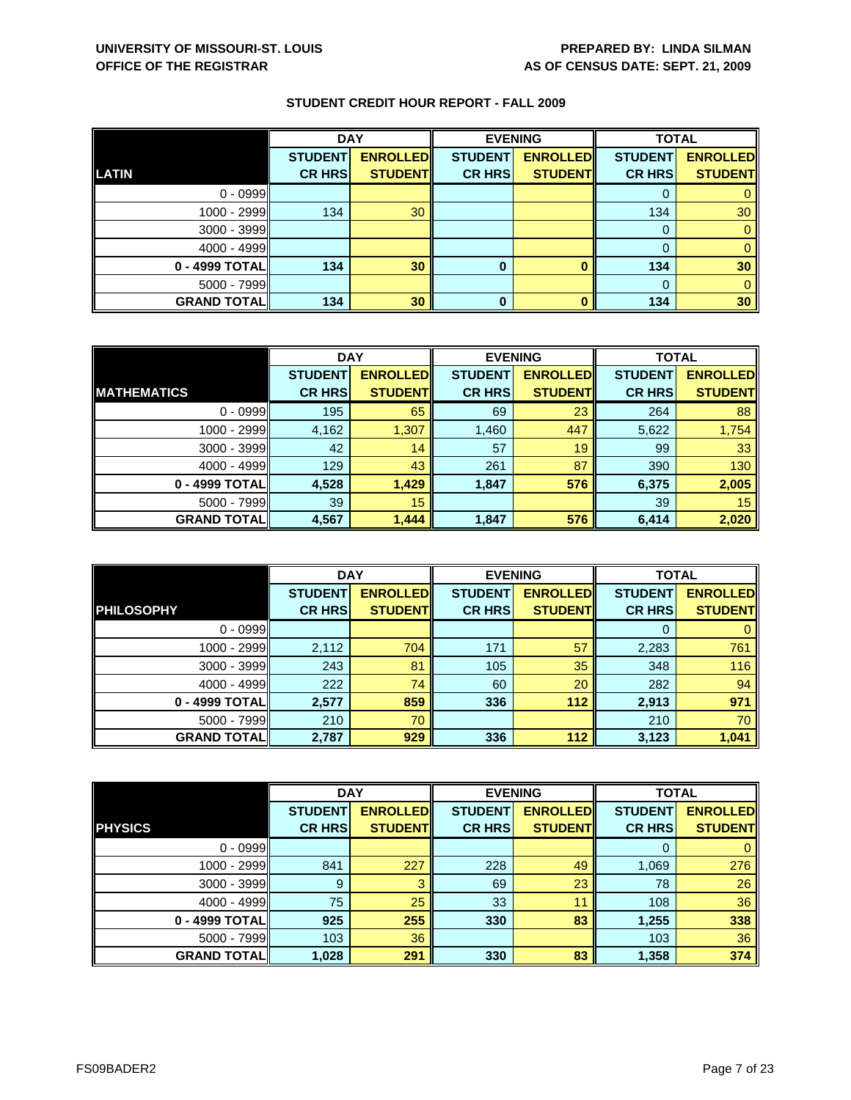|                    | <b>DAY</b>     |                 | <b>EVENING</b> |                 | <b>TOTAL</b>   |                 |
|--------------------|----------------|-----------------|----------------|-----------------|----------------|-----------------|
|                    | <b>STUDENT</b> | <b>ENROLLED</b> | <b>STUDENT</b> | <b>ENROLLED</b> | <b>STUDENT</b> | <b>ENROLLED</b> |
| LATIN              | <b>CR HRS</b>  | <b>STUDENT</b>  | <b>CR HRS</b>  | <b>STUDENT</b>  | <b>CR HRS</b>  | <b>STUDENT</b>  |
| $0 - 0999$         |                |                 |                |                 |                |                 |
| $1000 - 2999$      | 134            | 30              |                |                 | 134            | 30              |
| $3000 - 3999$      |                |                 |                |                 | 0              |                 |
| $4000 - 4999$      |                |                 |                |                 |                |                 |
| 0 - 4999 TOTAL     | 134            | 30              | 0              |                 | 134            | 30              |
| $5000 - 7999$      |                |                 |                |                 | $\Omega$       |                 |
| <b>GRAND TOTAL</b> | 134            | 30              | $\bf{0}$       |                 | 134            | 30              |

|                    | <b>DAY</b>     |                 |                | <b>EVENING</b>  | <b>TOTAL</b>   |                 |
|--------------------|----------------|-----------------|----------------|-----------------|----------------|-----------------|
|                    | <b>STUDENT</b> | <b>ENROLLED</b> | <b>STUDENT</b> | <b>ENROLLED</b> | <b>STUDENT</b> | <b>ENROLLED</b> |
| <b>MATHEMATICS</b> | <b>CR HRS</b>  | <b>STUDENT</b>  | <b>CR HRS</b>  | <b>STUDENT</b>  | <b>CR HRS</b>  | <b>STUDENT</b>  |
| $0 - 0999$         | 195            | 65              | 69             | 23              | 264            | 88              |
| 1000 - 2999        | 4,162          | 1,307           | 1,460          | 447             | 5,622          | 1,754           |
| $3000 - 3999$      | 42             | 14              | 57             | 19              | 99             | 33              |
| $4000 - 4999$      | 129            | 43              | 261            | 87              | 390            | 130             |
| 0 - 4999 TOTAL     | 4,528          | 1,429           | 1,847          | 576             | 6,375          | 2,005           |
| 5000 - 7999        | 39             | 15              |                |                 | 39             | 15              |
| <b>GRAND TOTAL</b> | 4,567          | 1,444           | 1,847          | 576             | 6,414          | 2,020           |

|                    | <b>DAY</b>     |                 | <b>EVENING</b> |                 | <b>TOTAL</b>   |                                   |
|--------------------|----------------|-----------------|----------------|-----------------|----------------|-----------------------------------|
| <b>PHILOSOPHY</b>  | <b>STUDENT</b> | <b>ENROLLED</b> | <b>STUDENT</b> | <b>ENROLLED</b> | <b>STUDENT</b> | <b>ENROLLED</b><br><b>STUDENT</b> |
|                    | <b>CR HRS</b>  | <b>STUDENT</b>  | <b>CR HRS</b>  | <b>STUDENT</b>  | <b>CR HRS</b>  |                                   |
| $0 - 0999$         |                |                 |                |                 |                |                                   |
| 1000 - 2999        | 2,112          | 704             | 171            | 57              | 2,283          | 761                               |
| 3000 - 3999        | 243            | 81              | 105            | 35              | 348            | 116                               |
| $4000 - 4999$      | 222            | 74              | 60             | 20              | 282            | 94                                |
| 0 - 4999 TOTAL     | 2,577          | 859             | 336            | 112             | 2,913          | 971                               |
| $5000 - 7999$      | 210            | 70              |                |                 | 210            | 70                                |
| <b>GRAND TOTAL</b> | 2,787          | 929             | 336            | 112             | 3,123          | 1,041                             |

|                    | <b>DAY</b>     |                 |                | <b>EVENING</b>  | <b>TOTAL</b>   |                 |
|--------------------|----------------|-----------------|----------------|-----------------|----------------|-----------------|
|                    | <b>STUDENT</b> | <b>ENROLLED</b> | <b>STUDENT</b> | <b>ENROLLED</b> | <b>STUDENT</b> | <b>ENROLLED</b> |
| <b>PHYSICS</b>     | <b>CR HRS</b>  | <b>STUDENT</b>  | <b>CR HRS</b>  | <b>STUDENT</b>  | <b>CR HRS</b>  | <b>STUDENT</b>  |
| $0 - 0999$         |                |                 |                |                 | O              | $\mathbf{0}$    |
| 1000 - 2999        | 841            | 227             | 228            | 49              | 1,069          | 276             |
| $3000 - 3999$      | 9              | 3               | 69             | 23              | 78             | 26              |
| $4000 - 4999$      | 75             | 25              | 33             | 11              | 108            | 36              |
| 0 - 4999 TOTAL     | 925            | 255             | 330            | 83              | 1,255          | 338             |
| $5000 - 7999$      | 103            | 36              |                |                 | 103            | 36              |
| <b>GRAND TOTAL</b> | 1,028          | 291             | 330            | 83              | 1,358          | 374             |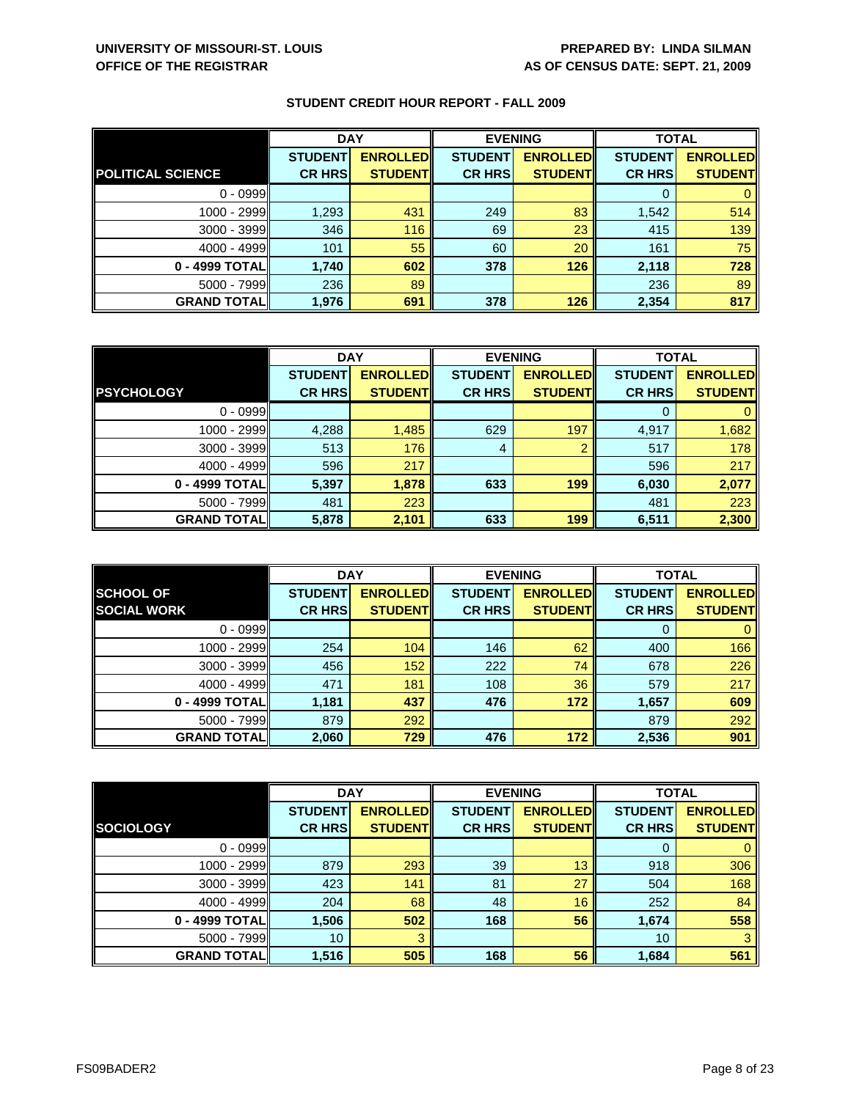|                          | <b>DAY</b>     |                 |                | <b>EVENING</b>  |                | <b>TOTAL</b>    |  |
|--------------------------|----------------|-----------------|----------------|-----------------|----------------|-----------------|--|
|                          | <b>STUDENT</b> | <b>ENROLLED</b> | <b>STUDENT</b> | <b>ENROLLED</b> | <b>STUDENT</b> | <b>ENROLLED</b> |  |
| <b>POLITICAL SCIENCE</b> | <b>CR HRS</b>  | <b>STUDENT</b>  | <b>CR HRS</b>  | <b>STUDENT</b>  | <b>CR HRS</b>  | <b>STUDENT</b>  |  |
| $0 - 0999$               |                |                 |                |                 |                |                 |  |
| 1000 - 2999              | 1,293          | 431             | 249            | 83              | 1,542          | 514             |  |
| $3000 - 3999$            | 346            | 116             | 69             | 23              | 415            | 139             |  |
| $4000 - 4999$            | 101            | 55              | 60             | 20              | 161            | 75              |  |
| 0 - 4999 TOTAL           | 1,740          | 602             | 378            | 126             | 2,118          | 728             |  |
| $5000 - 7999$            | 236            | 89              |                |                 | 236            | 89              |  |
| <b>GRAND TOTAL</b>       | 1,976          | 691             | 378            | 126             | 2,354          | 817             |  |

|                    | <b>DAY</b>     |                 | <b>EVENING</b> |                 | <b>TOTAL</b>   |                 |
|--------------------|----------------|-----------------|----------------|-----------------|----------------|-----------------|
|                    | <b>STUDENT</b> | <b>ENROLLED</b> | <b>STUDENT</b> | <b>ENROLLED</b> | <b>STUDENT</b> | <b>ENROLLED</b> |
| <b>PSYCHOLOGY</b>  | <b>CR HRS</b>  | <b>STUDENT</b>  | <b>CR HRS</b>  | <b>STUDENT</b>  | <b>CR HRS</b>  | <b>STUDENT</b>  |
| $0 - 0999$         |                |                 |                |                 |                |                 |
| $1000 - 2999$      | 4,288          | 1,485           | 629            | 197             | 4,917          | 1,682           |
| $3000 - 3999$      | 513            | 176             | 4              | ◠               | 517            | 178             |
| $4000 - 4999$      | 596            | 217             |                |                 | 596            | 217             |
| 0 - 4999 TOTAL     | 5,397          | 1,878           | 633            | 199             | 6,030          | 2,077           |
| $5000 - 7999$      | 481            | 223             |                |                 | 481            | 223             |
| <b>GRAND TOTAL</b> | 5,878          | 2,101           | 633            | 199             | 6,511          | 2,300           |

|                     | <b>DAY</b>     |                 |                | <b>EVENING</b>  | <b>TOTAL</b>   |                 |
|---------------------|----------------|-----------------|----------------|-----------------|----------------|-----------------|
| <b>SCHOOL OF</b>    | <b>STUDENT</b> | <b>ENROLLED</b> | <b>STUDENT</b> | <b>ENROLLED</b> | <b>STUDENT</b> | <b>ENROLLED</b> |
| <b>SOCIAL WORK</b>  | <b>CR HRS</b>  | <b>STUDENT</b>  | <b>CR HRS</b>  | <b>STUDENT</b>  | <b>CR HRS</b>  | <b>STUDENT</b>  |
| $0 - 0999$          |                |                 |                |                 | O              |                 |
| 1000 - 2999         | 254            | 104             | 146            | 62              | 400            | 166             |
| $3000 - 3999$       | 456            | 152             | 222            | 74              | 678            | 226             |
| $4000 - 4999$       | 471            | 181             | 108            | 36              | 579            | 217             |
| 0 - 4999 TOTAL      | 1,181          | 437             | 476            | 172             | 1,657          | 609             |
| $5000 - 7999$       | 879            | 292             |                |                 | 879            | 292             |
| <b>GRAND TOTALI</b> | 2,060          | 729             | 476            | 172             | 2,536          | 901             |

|                    | <b>DAY</b>     |                 | <b>EVENING</b> |                 | <b>TOTAL</b>   |                 |
|--------------------|----------------|-----------------|----------------|-----------------|----------------|-----------------|
|                    | <b>STUDENT</b> | <b>ENROLLED</b> | <b>STUDENT</b> | <b>ENROLLED</b> | <b>STUDENT</b> | <b>ENROLLED</b> |
| <b>SOCIOLOGY</b>   | <b>CR HRS</b>  | <b>STUDENT</b>  | <b>CR HRS</b>  | <b>STUDENT</b>  | <b>CR HRS</b>  | <b>STUDENT</b>  |
| $0 - 0999$         |                |                 |                |                 | 0              | $\mathbf{0}$    |
| 1000 - 2999        | 879            | 293             | 39             | 13              | 918            | 306             |
| 3000 - 3999        | 423            | 141             | 81             | 27              | 504            | 168             |
| $4000 - 4999$      | 204            | 68              | 48             | 16              | 252            | 84              |
| 0 - 4999 TOTAL     | 1,506          | 502             | 168            | 56              | 1,674          | 558             |
| $5000 - 7999$      | 10             |                 |                |                 | 10             | 3               |
| <b>GRAND TOTAL</b> | 1,516          | 505             | 168            | 56              | 1,684          | 561             |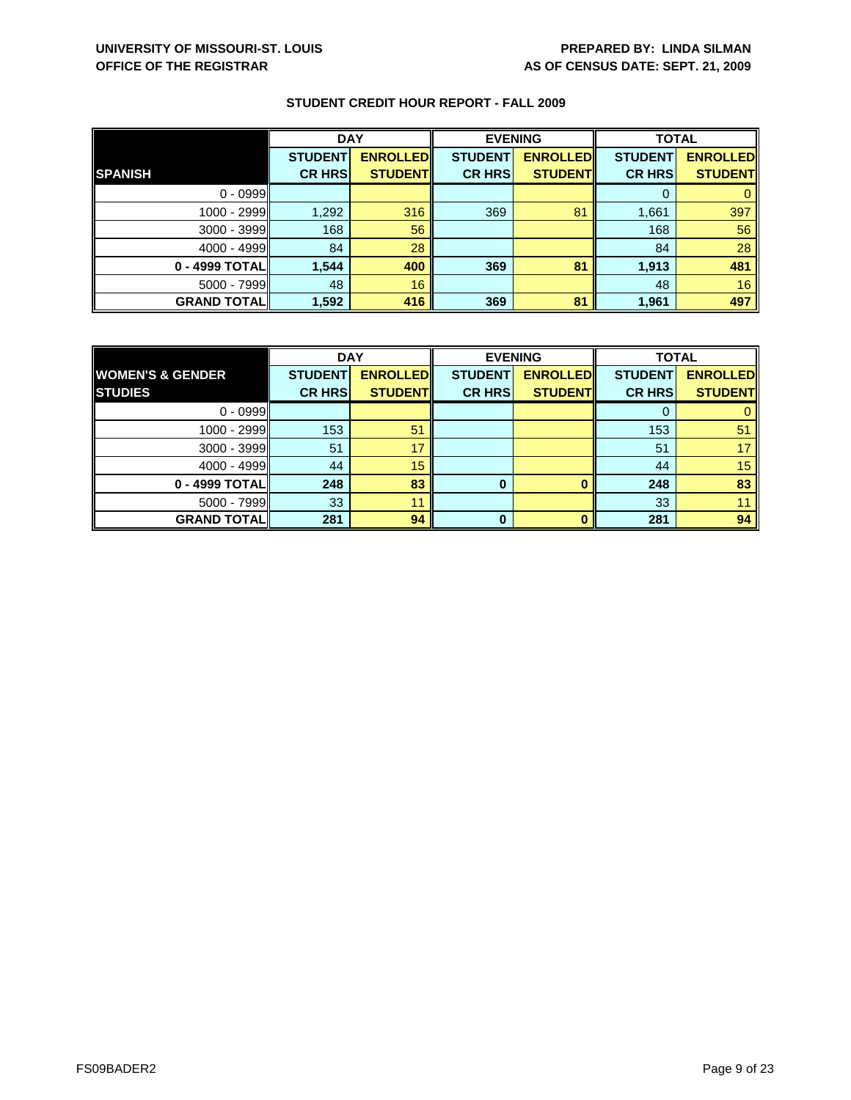|                    | <b>DAY</b>     |                 |                | <b>EVENING</b>  | <b>TOTAL</b>   |                 |
|--------------------|----------------|-----------------|----------------|-----------------|----------------|-----------------|
|                    | <b>STUDENT</b> | <b>ENROLLED</b> | <b>STUDENT</b> | <b>ENROLLED</b> | <b>STUDENT</b> | <b>ENROLLED</b> |
| <b>SPANISH</b>     | <b>CR HRS</b>  | <b>STUDENT</b>  | <b>CR HRS</b>  | <b>STUDENT</b>  | <b>CR HRS</b>  | <b>STUDENT</b>  |
| $0 - 0999$         |                |                 |                |                 | 0              | $\mathbf{0}$    |
| 1000 - 2999        | 1,292          | 316             | 369            | 81              | 1,661          | 397             |
| 3000 - 3999        | 168            | 56              |                |                 | 168            | 56              |
| $4000 - 4999$      | 84             | 28              |                |                 | 84             | 28              |
| 0 - 4999 TOTAL     | 1,544          | 400             | 369            | 81              | 1,913          | 481             |
| 5000 - 7999        | 48             | 16              |                |                 | 48             | 16              |
| <b>GRAND TOTAL</b> | 1,592          | 416             | 369            | 81              | 1,961          | 497             |

|                             | <b>DAY</b>     |                 | <b>EVENING</b> |                 | <b>TOTAL</b>   |                 |
|-----------------------------|----------------|-----------------|----------------|-----------------|----------------|-----------------|
| <b>WOMEN'S &amp; GENDER</b> | <b>STUDENT</b> | <b>ENROLLED</b> | <b>STUDENT</b> | <b>ENROLLED</b> | <b>STUDENT</b> | <b>ENROLLED</b> |
| <b>STUDIES</b>              | <b>CR HRS</b>  | <b>STUDENT</b>  | <b>CR HRS</b>  | <b>STUDENT</b>  | <b>CR HRS</b>  | <b>STUDENT</b>  |
| $0 - 0999$                  |                |                 |                |                 |                |                 |
| 1000 - 2999                 | 153            | 51              |                |                 | 153            | 51              |
| $3000 - 3999$               | 51             | 17              |                |                 | 51             |                 |
| $4000 - 4999$               | 44             | 15              |                |                 | 44             | 15              |
| 0 - 4999 TOTAL              | 248            | 83              | 0              |                 | 248            | 83              |
| $5000 - 7999$               | 33             | 11              |                |                 | 33             |                 |
| <b>GRAND TOTAL</b>          | 281            | 94              | <sup>0</sup>   |                 | 281            | 94              |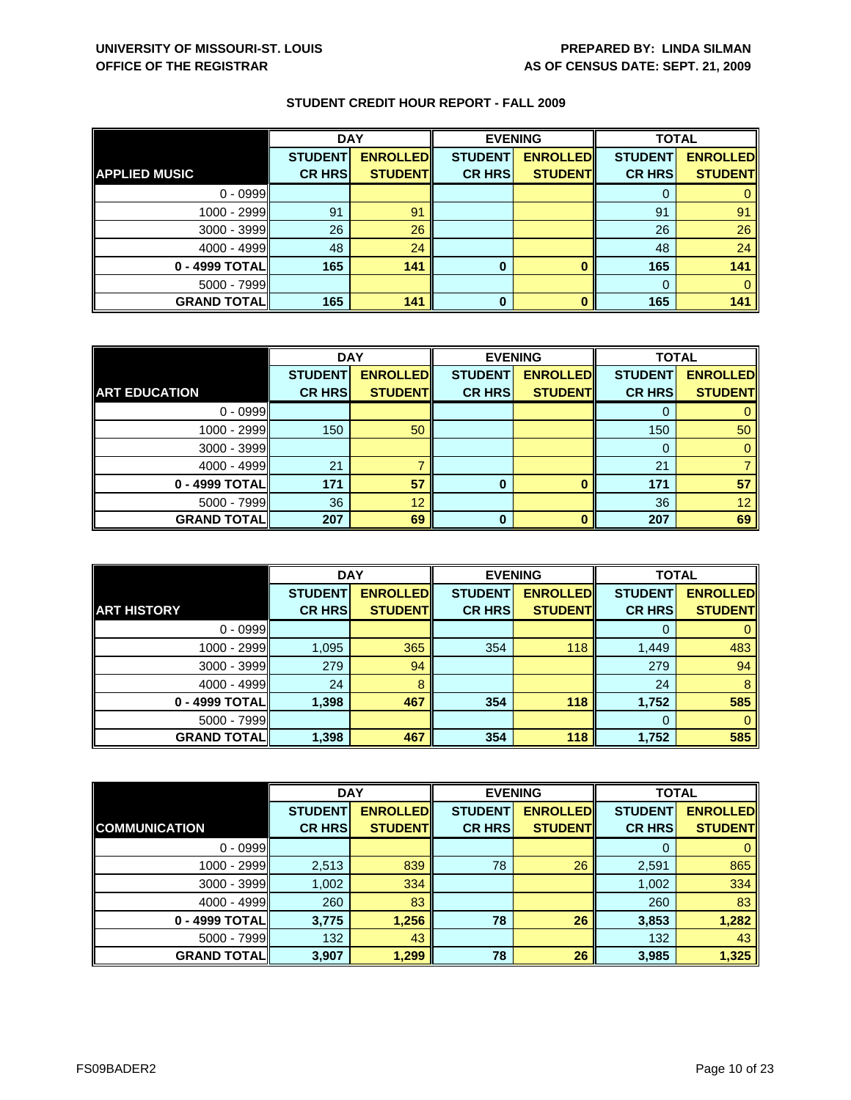|                      | <b>DAY</b>     |                 | <b>EVENING</b> |                 | <b>TOTAL</b>   |                 |
|----------------------|----------------|-----------------|----------------|-----------------|----------------|-----------------|
|                      | <b>STUDENT</b> | <b>ENROLLED</b> | <b>STUDENT</b> | <b>ENROLLED</b> | <b>STUDENT</b> | <b>ENROLLED</b> |
| <b>APPLIED MUSIC</b> | <b>CR HRS</b>  | <b>STUDENT</b>  | <b>CR HRS</b>  | <b>STUDENT</b>  | <b>CR HRS</b>  | <b>STUDENT</b>  |
| $0 - 0999$           |                |                 |                |                 |                |                 |
| 1000 - 2999          | 91             | 91              |                |                 | 91             | 91              |
| $3000 - 3999$        | 26             | 26              |                |                 | 26             | 26              |
| $4000 - 4999$        | 48             | 24              |                |                 | 48             | 24              |
| 0 - 4999 TOTAL       | 165            | 141             | 0              |                 | 165            | 141             |
| $5000 - 7999$        |                |                 |                |                 | $\Omega$       |                 |
| <b>GRAND TOTAL</b>   | 165            | 141             | 0              |                 | 165            | 141             |

|                      | <b>DAY</b>     |                 |                | <b>EVENING</b>  |                | <b>TOTAL</b>    |  |
|----------------------|----------------|-----------------|----------------|-----------------|----------------|-----------------|--|
|                      | <b>STUDENT</b> | <b>ENROLLED</b> | <b>STUDENT</b> | <b>ENROLLED</b> | <b>STUDENT</b> | <b>ENROLLED</b> |  |
| <b>ART EDUCATION</b> | <b>CR HRS</b>  | <b>STUDENT</b>  | <b>CR HRS</b>  | <b>STUDENT</b>  | <b>CR HRS</b>  | <b>STUDENT</b>  |  |
| $0 - 0999$           |                |                 |                |                 |                |                 |  |
| 1000 - 2999          | 150            | 50              |                |                 | 150            | 50              |  |
| $3000 - 3999$        |                |                 |                |                 | O              |                 |  |
| $4000 - 4999$        | 21             |                 |                |                 | 21             |                 |  |
| 0 - 4999 TOTAL       | 171            | 57              | 0              | O               | 171            | 57              |  |
| $5000 - 7999$        | 36             | 12              |                |                 | 36             | 12 <sup>2</sup> |  |
| <b>GRAND TOTAL</b>   | 207            | 69              | ŋ              | n               | 207            | 69              |  |

|                    | <b>DAY</b>                      |                                    | <b>EVENING</b>                  |                                   | <b>TOTAL</b>                    |                                   |
|--------------------|---------------------------------|------------------------------------|---------------------------------|-----------------------------------|---------------------------------|-----------------------------------|
| <b>ART HISTORY</b> | <b>STUDENT</b><br><b>CR HRS</b> | <b>ENROLLED</b><br><b>STUDENTI</b> | <b>STUDENT</b><br><b>CR HRS</b> | <b>ENROLLED</b><br><b>STUDENT</b> | <b>STUDENT</b><br><b>CR HRS</b> | <b>ENROLLED</b><br><b>STUDENT</b> |
|                    |                                 |                                    |                                 |                                   |                                 |                                   |
| $0 - 0999$         |                                 |                                    |                                 |                                   | O                               |                                   |
| 1000 - 2999        | 1,095                           | 365                                | 354                             | 118                               | 1,449                           | 483                               |
| $3000 - 3999$      | 279                             | 94                                 |                                 |                                   | 279                             | 94                                |
| $4000 - 4999$      | 24                              | 8                                  |                                 |                                   | 24                              | 8                                 |
| 0 - 4999 TOTALI    | 1,398                           | 467                                | 354                             | 118                               | 1,752                           | 585                               |
| $5000 - 7999$      |                                 |                                    |                                 |                                   | $\Omega$                        | 0                                 |
| <b>GRAND TOTAL</b> | 1,398                           | 467                                | 354                             | 118                               | 1,752                           | 585                               |

|                      | <b>DAY</b>     |                 | <b>EVENING</b> |                 | <b>TOTAL</b>   |                 |
|----------------------|----------------|-----------------|----------------|-----------------|----------------|-----------------|
|                      | <b>STUDENT</b> | <b>ENROLLED</b> | <b>STUDENT</b> | <b>ENROLLED</b> | <b>STUDENT</b> | <b>ENROLLED</b> |
| <b>COMMUNICATION</b> | <b>CR HRS</b>  | <b>STUDENT</b>  | <b>CR HRS</b>  | <b>STUDENT</b>  | <b>CR HRS</b>  | <b>STUDENT</b>  |
| $0 - 0999$           |                |                 |                |                 | O              | 0               |
| 1000 - 2999          | 2,513          | 839             | 78             | 26              | 2,591          | 865             |
| $3000 - 3999$        | 1,002          | 334             |                |                 | 1,002          | 334             |
| $4000 - 4999$        | 260            | 83              |                |                 | 260            | 83              |
| 0 - 4999 TOTAL       | 3,775          | 1,256           | 78             | 26              | 3,853          | 1,282           |
| $5000 - 7999$        | 132            | 43              |                |                 | 132            | 43              |
| <b>GRAND TOTAL</b>   | 3,907          | 1,299           | 78             | 26              | 3,985          | 1,325           |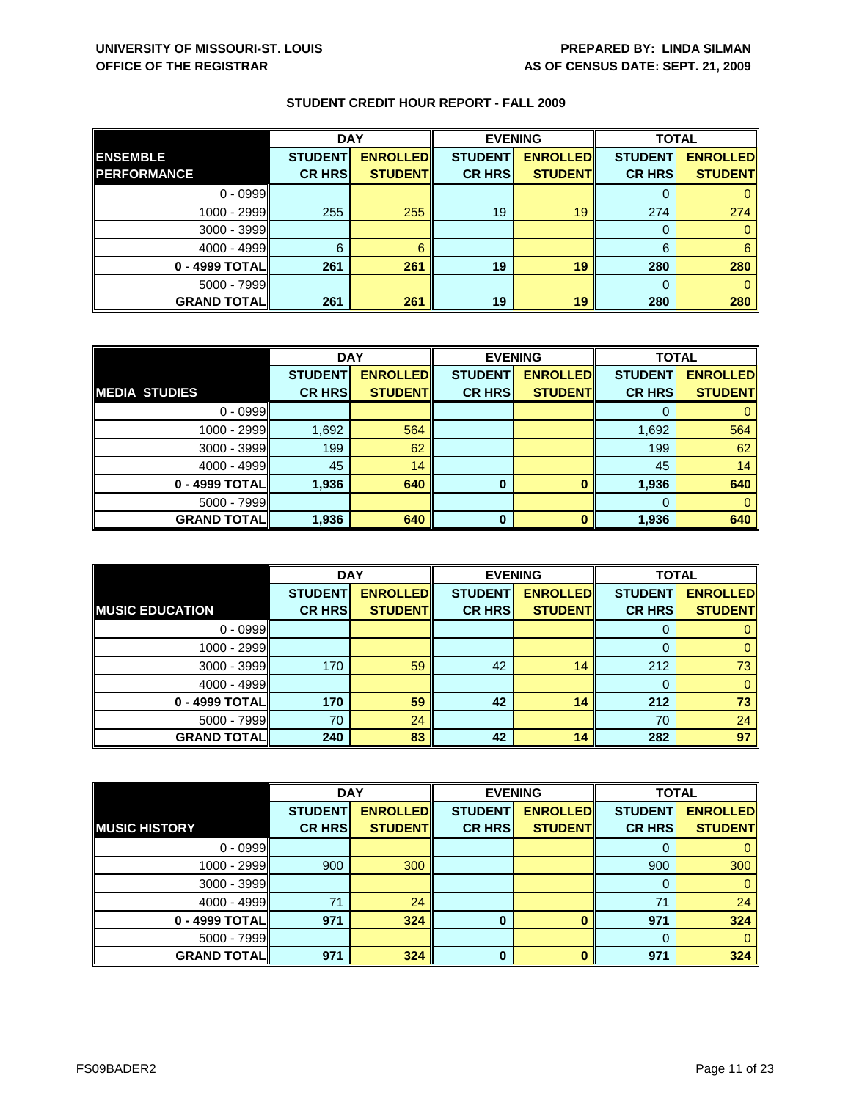|                    | <b>DAY</b>     |                 | <b>EVENING</b> |                 | <b>TOTAL</b>   |                 |
|--------------------|----------------|-----------------|----------------|-----------------|----------------|-----------------|
| <b>ENSEMBLE</b>    | <b>STUDENT</b> | <b>ENROLLED</b> | <b>STUDENT</b> | <b>ENROLLED</b> | <b>STUDENT</b> | <b>ENROLLED</b> |
| <b>PERFORMANCE</b> | <b>CR HRS</b>  | <b>STUDENT</b>  | <b>CR HRS</b>  | <b>STUDENT</b>  | <b>CR HRS</b>  | <b>STUDENT</b>  |
| $0 - 0999$         |                |                 |                |                 |                |                 |
| $1000 - 2999$      | 255            | 255             | 19             | 19              | 274            | 274             |
| $3000 - 3999$      |                |                 |                |                 |                |                 |
| $4000 - 4999$      | 6              |                 |                |                 | 6              | 6               |
| 0 - 4999 TOTAL     | 261            | 261             | 19             | 19              | 280            | 280             |
| $5000 - 7999$      |                |                 |                |                 |                |                 |
| <b>GRAND TOTAL</b> | 261            | 261             | 19             | 19              | 280            | 280             |

|                      | <b>DAY</b>     |                 |                | <b>EVENING</b>  | <b>TOTAL</b>   |                 |
|----------------------|----------------|-----------------|----------------|-----------------|----------------|-----------------|
|                      | <b>STUDENT</b> | <b>ENROLLED</b> | <b>STUDENT</b> | <b>ENROLLED</b> | <b>STUDENT</b> | <b>ENROLLED</b> |
| <b>MEDIA STUDIES</b> | <b>CR HRS</b>  | <b>STUDENT</b>  | <b>CR HRS</b>  | <b>STUDENT</b>  | <b>CR HRS</b>  | <b>STUDENT</b>  |
| $0 - 0999$           |                |                 |                |                 |                |                 |
| $1000 - 2999$        | 1,692          | 564             |                |                 | 1,692          | 564             |
| 3000 - 3999          | 199            | 62              |                |                 | 199            | 62              |
| $4000 - 4999$        | 45             | 14              |                |                 | 45             | 14              |
| 0 - 4999 TOTAL       | 1,936          | 640             | 0              |                 | 1,936          | 640             |
| $5000 - 7999$        |                |                 |                |                 | 0              |                 |
| <b>GRAND TOTAL</b>   | 1,936          | 640             | $\Omega$       |                 | 1,936          | 640             |

|                        | <b>DAY</b>                      |                                   |                                 | <b>EVENING</b>                    | <b>TOTAL</b>                    |                                   |
|------------------------|---------------------------------|-----------------------------------|---------------------------------|-----------------------------------|---------------------------------|-----------------------------------|
| <b>MUSIC EDUCATION</b> | <b>STUDENT</b><br><b>CR HRS</b> | <b>ENROLLED</b><br><b>STUDENT</b> | <b>STUDENT</b><br><b>CR HRS</b> | <b>ENROLLED</b><br><b>STUDENT</b> | <b>STUDENT</b><br><b>CR HRS</b> | <b>ENROLLED</b><br><b>STUDENT</b> |
| $0 - 0999$             |                                 |                                   |                                 |                                   | O                               |                                   |
|                        |                                 |                                   |                                 |                                   |                                 |                                   |
| 1000 - 2999            |                                 |                                   |                                 |                                   |                                 | 0                                 |
| 3000 - 3999            | 170                             | 59                                | 42                              | 14                                | 212                             | 73                                |
| $4000 - 4999$          |                                 |                                   |                                 |                                   | 0                               | 0                                 |
| 0 - 4999 TOTAL         | 170                             | 59                                | 42                              | 14                                | 212                             | 73                                |
| $5000 - 7999$          | 70                              | 24                                |                                 |                                   | 70                              | 24                                |
| <b>GRAND TOTALI</b>    | 240                             | 83                                | 42                              | 14                                | 282                             | 97                                |

|                       | <b>DAY</b>     |                 |                | <b>EVENING</b>  | <b>TOTAL</b>   |                 |
|-----------------------|----------------|-----------------|----------------|-----------------|----------------|-----------------|
|                       | <b>STUDENT</b> | <b>ENROLLED</b> | <b>STUDENT</b> | <b>ENROLLED</b> | <b>STUDENT</b> | <b>ENROLLED</b> |
| <b>IMUSIC HISTORY</b> | <b>CR HRS</b>  | <b>STUDENT</b>  | <b>CR HRS</b>  | <b>STUDENT</b>  | <b>CR HRS</b>  | <b>STUDENT</b>  |
| $0 - 0999$            |                |                 |                |                 | O              | 0               |
| 1000 - 2999           | 900            | 300             |                |                 | 900            | 300             |
| $3000 - 3999$         |                |                 |                |                 | 0              | $\mathbf{0}$    |
| $4000 - 4999$         | 71             | 24              |                |                 | 71             | 24              |
| 0 - 4999 TOTAL        | 971            | 324             | $\bf{0}$       |                 | 971            | 324             |
| $5000 - 7999$         |                |                 |                |                 | $\Omega$       | $\Omega$        |
| <b>GRAND TOTAL</b>    | 971            | 324             | $\bf{0}$       | ŋ               | 971            | 324             |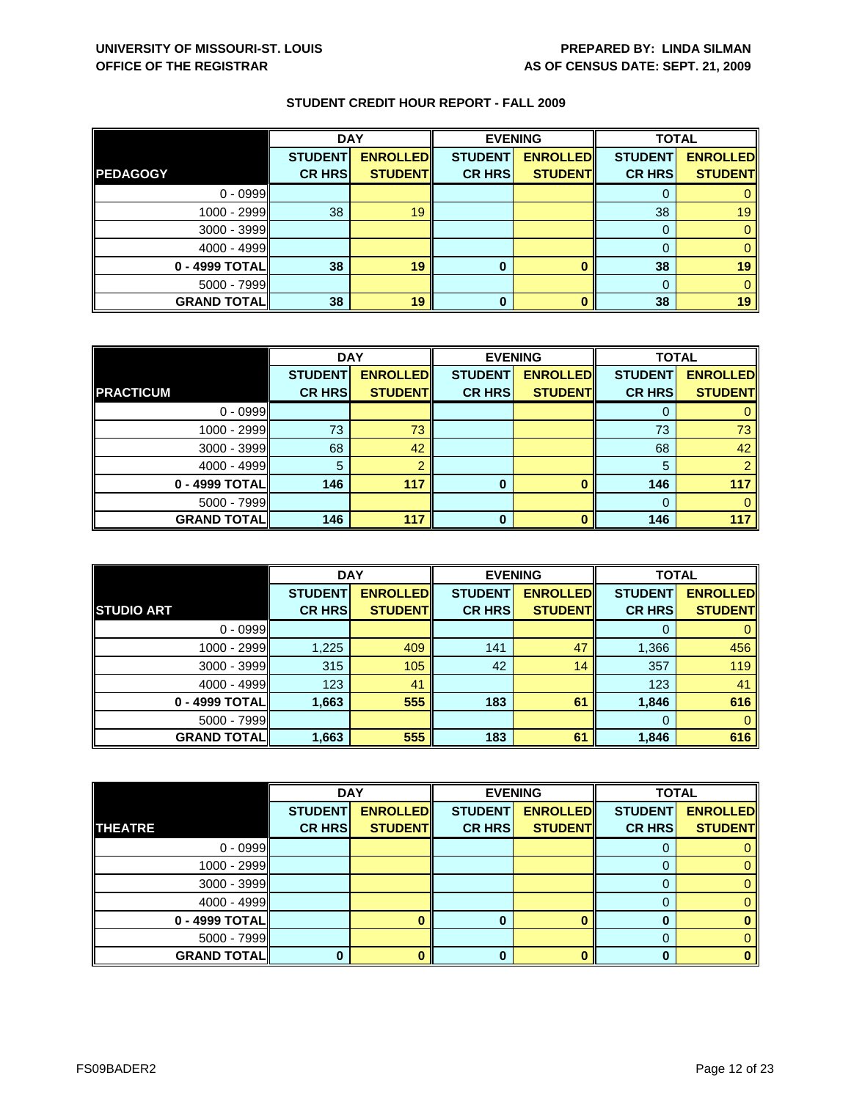|                    | <b>DAY</b>     |                 | <b>EVENING</b> |                 | <b>TOTAL</b>   |                 |
|--------------------|----------------|-----------------|----------------|-----------------|----------------|-----------------|
|                    | <b>STUDENT</b> | <b>ENROLLED</b> | <b>STUDENT</b> | <b>ENROLLED</b> | <b>STUDENT</b> | <b>ENROLLED</b> |
| <b>PEDAGOGY</b>    | <b>CR HRS</b>  | <b>STUDENT</b>  | <b>CR HRS</b>  | <b>STUDENT</b>  | <b>CR HRS</b>  | <b>STUDENT</b>  |
| $0 - 0999$         |                |                 |                |                 |                |                 |
| 1000 - 2999        | 38             | 19              |                |                 | 38             | 19 <sub>1</sub> |
| 3000 - 3999        |                |                 |                |                 |                |                 |
| $4000 - 4999$      |                |                 |                |                 |                |                 |
| 0 - 4999 TOTAL     | 38             | 19              | 0              |                 | 38             | 19              |
| $5000 - 7999$      |                |                 |                |                 |                |                 |
| <b>GRAND TOTAL</b> | 38             | 19              | 0              |                 | 38             | 19              |

|                    | <b>DAY</b>     |                 |                | <b>EVENING</b>  | <b>TOTAL</b>   |                 |
|--------------------|----------------|-----------------|----------------|-----------------|----------------|-----------------|
|                    | <b>STUDENT</b> | <b>ENROLLED</b> | <b>STUDENT</b> | <b>ENROLLED</b> | <b>STUDENT</b> | <b>ENROLLED</b> |
| <b>PRACTICUM</b>   | <b>CR HRS</b>  | <b>STUDENT</b>  | <b>CR HRS</b>  | <b>STUDENT</b>  | <b>CR HRS</b>  | <b>STUDENT</b>  |
| $0 - 0999$         |                |                 |                |                 |                |                 |
| 1000 - 2999        | 73             | 73              |                |                 | 73             | 73              |
| $3000 - 3999$      | 68             | 42              |                |                 | 68             | 42              |
| $4000 - 4999$      | 5              |                 |                |                 | 5              |                 |
| 0 - 4999 TOTAL     | 146            | 117             | 0              | O               | 146            | 117             |
| $5000 - 7999$      |                |                 |                |                 | $\Omega$       |                 |
| <b>GRAND TOTAL</b> | 146            | 117             | ŋ              | n               | 146            | 117             |

|                     | <b>DAY</b>     |                 | <b>EVENING</b> |                 | <b>TOTAL</b>   |                 |
|---------------------|----------------|-----------------|----------------|-----------------|----------------|-----------------|
|                     | <b>STUDENT</b> | <b>ENROLLED</b> | <b>STUDENT</b> | <b>ENROLLED</b> | <b>STUDENT</b> | <b>ENROLLED</b> |
| <b>STUDIO ART</b>   | <b>CR HRS</b>  | <b>STUDENT</b>  | <b>CR HRS</b>  | <b>STUDENT</b>  | <b>CR HRS</b>  | <b>STUDENT</b>  |
| $0 - 0999$          |                |                 |                |                 | O              |                 |
| $1000 - 2999$       | 1,225          | 409             | 141            | 47              | 1,366          | 456             |
| $3000 - 3999$       | 315            | 105             | 42             | 14              | 357            | 119             |
| $4000 - 4999$       | 123            | 41              |                |                 | 123            | 41              |
| 0 - 4999 TOTAL      | 1,663          | 555             | 183            | 61              | 1,846          | 616             |
| $5000 - 7999$       |                |                 |                |                 | $\Omega$       | 0               |
| <b>GRAND TOTALI</b> | 1,663          | 555             | 183            | 61              | 1,846          | 616             |

|                    | <b>DAY</b>     |                 |                | <b>EVENING</b>  | <b>TOTAL</b>   |                 |
|--------------------|----------------|-----------------|----------------|-----------------|----------------|-----------------|
|                    | <b>STUDENT</b> | <b>ENROLLED</b> | <b>STUDENT</b> | <b>ENROLLED</b> | <b>STUDENT</b> | <b>ENROLLED</b> |
| <b>THEATRE</b>     | <b>CR HRS</b>  | <b>STUDENT</b>  | <b>CR HRS</b>  | <b>STUDENT</b>  | <b>CR HRS</b>  | <b>STUDENT</b>  |
| $0 - 0999$         |                |                 |                |                 |                |                 |
| $1000 - 2999$      |                |                 |                |                 |                | 0               |
| $3000 - 3999$      |                |                 |                |                 | O              | 0.              |
| $4000 - 4999$      |                |                 |                |                 |                |                 |
| $0 - 4999$ TOTAL   |                |                 |                |                 |                |                 |
| $5000 - 7999$      |                |                 |                |                 | 0              |                 |
| <b>GRAND TOTAL</b> |                |                 |                |                 | n              | o               |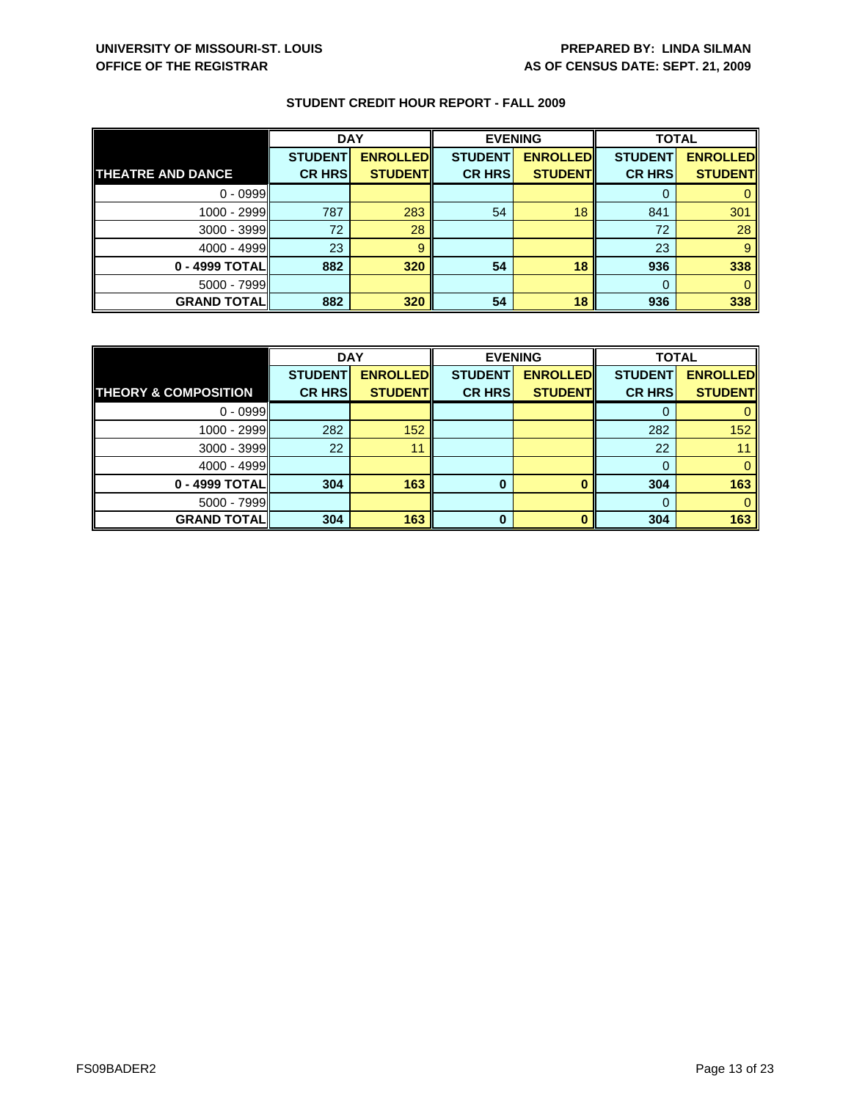|                          | <b>DAY</b>     |                 | <b>EVENING</b> |                 | <b>TOTAL</b>   |                 |
|--------------------------|----------------|-----------------|----------------|-----------------|----------------|-----------------|
|                          | <b>STUDENT</b> | <b>ENROLLED</b> | <b>STUDENT</b> | <b>ENROLLED</b> | <b>STUDENT</b> | <b>ENROLLED</b> |
| <b>THEATRE AND DANCE</b> | <b>CR HRS</b>  | <b>STUDENT</b>  | <b>CR HRS</b>  | <b>STUDENT</b>  | <b>CR HRS</b>  | <b>STUDENT</b>  |
| $0 - 0999$               |                |                 |                |                 |                |                 |
| 1000 - 2999              | 787            | 283             | 54             | 18              | 841            | 301             |
| $3000 - 3999$            | 72             | 28              |                |                 | 72             | 28              |
| $4000 - 4999$            | 23             | 9               |                |                 | 23             | 9               |
| 0 - 4999 TOTALI          | 882            | 320             | 54             | 18              | 936            | 338             |
| $5000 - 7999$            |                |                 |                |                 | $\Omega$       |                 |
| <b>GRAND TOTAL</b>       | 882            | 320             | 54             | 18              | 936            | 338             |

|                                 | <b>DAY</b>     |                 |                | <b>EVENING</b>  | <b>TOTAL</b>   |                 |
|---------------------------------|----------------|-----------------|----------------|-----------------|----------------|-----------------|
|                                 | <b>STUDENT</b> | <b>ENROLLED</b> | <b>STUDENT</b> | <b>ENROLLED</b> | <b>STUDENT</b> | <b>ENROLLED</b> |
| <b>THEORY &amp; COMPOSITION</b> | <b>CR HRS</b>  | <b>STUDENT</b>  | <b>CR HRS</b>  | <b>STUDENT</b>  | <b>CR HRS</b>  | <b>STUDENT</b>  |
| $0 - 0999$                      |                |                 |                |                 |                |                 |
| 1000 - 2999                     | 282            | 152             |                |                 | 282            | 152             |
| 3000 - 3999                     | 22             | 11              |                |                 | 22             |                 |
| $4000 - 4999$                   |                |                 |                |                 |                |                 |
| 0 - 4999 TOTAL                  | 304            | 163             | 0              |                 | 304            | 163             |
| $5000 - 7999$                   |                |                 |                |                 | 0              |                 |
| <b>GRAND TOTAL</b>              | 304            | 163             | <sup>0</sup>   |                 | 304            | 163             |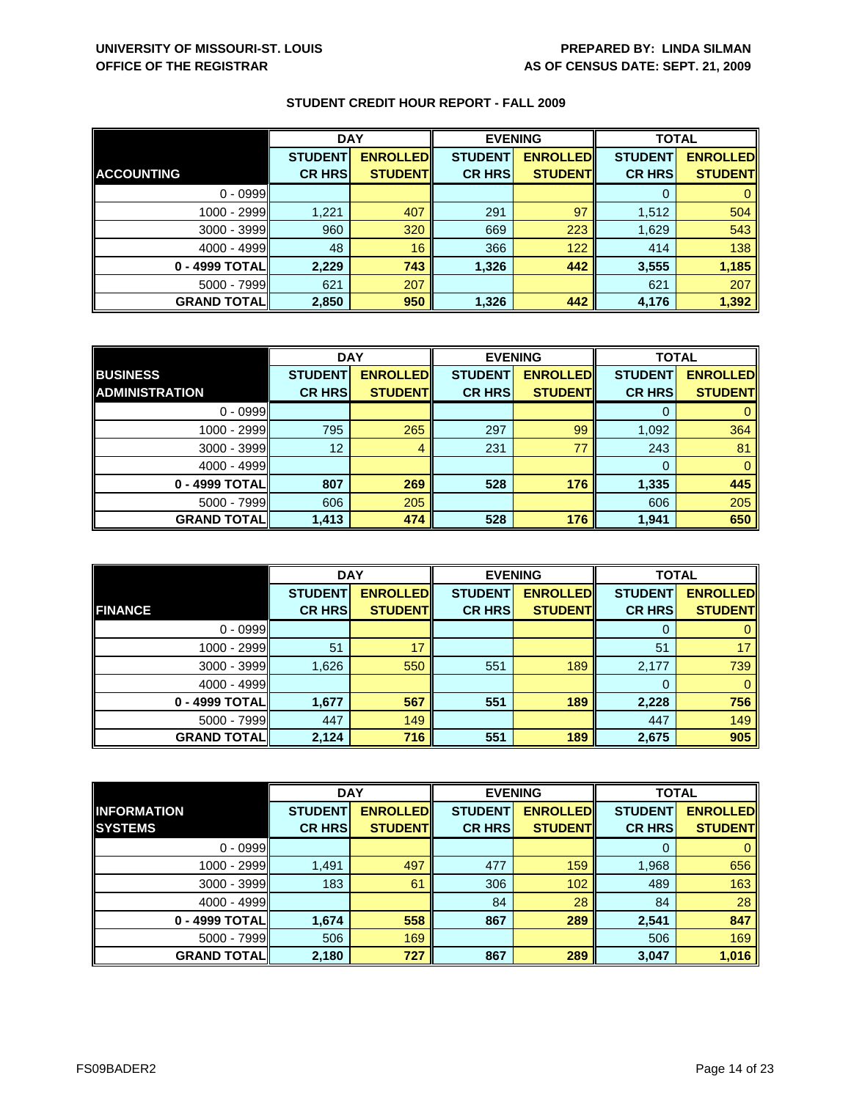|                     | <b>DAY</b>     |                 | <b>EVENING</b> |                 | <b>TOTAL</b>   |                 |
|---------------------|----------------|-----------------|----------------|-----------------|----------------|-----------------|
|                     | <b>STUDENT</b> | <b>ENROLLED</b> | <b>STUDENT</b> | <b>ENROLLED</b> | <b>STUDENT</b> | <b>ENROLLED</b> |
| <b>ACCOUNTING</b>   | <b>CR HRS</b>  | <b>STUDENTI</b> | <b>CR HRS</b>  | <b>STUDENT</b>  | <b>CR HRS</b>  | <b>STUDENT</b>  |
| $0 - 0999$          |                |                 |                |                 |                |                 |
| 1000 - 2999         | 1,221          | 407             | 291            | 97              | 1,512          | 504             |
| $3000 - 3999$       | 960            | 320             | 669            | 223             | 1,629          | 543             |
| $4000 - 4999$       | 48             | 16              | 366            | 122             | 414            | 138             |
| 0 - 4999 TOTAL      | 2,229          | 743             | 1,326          | 442             | 3,555          | 1,185           |
| $5000 - 7999$       | 621            | 207             |                |                 | 621            | 207             |
| <b>GRAND TOTALI</b> | 2,850          | 950             | 1,326          | 442             | 4,176          | 1,392           |

|                       | <b>DAY</b>     |                 | <b>EVENING</b> |                 | <b>TOTAL</b>   |                 |
|-----------------------|----------------|-----------------|----------------|-----------------|----------------|-----------------|
| <b>BUSINESS</b>       | <b>STUDENT</b> | <b>ENROLLED</b> | <b>STUDENT</b> | <b>ENROLLED</b> | <b>STUDENT</b> | <b>ENROLLED</b> |
| <b>ADMINISTRATION</b> | <b>CR HRS</b>  | <b>STUDENT</b>  | <b>CR HRS</b>  | <b>STUDENT</b>  | <b>CR HRS</b>  | <b>STUDENT</b>  |
| $0 - 0999$            |                |                 |                |                 |                |                 |
| 1000 - 2999           | 795            | 265             | 297            | 99              | 1,092          | 364             |
| $3000 - 3999$         | 12             | 4               | 231            | 77              | 243            | 81              |
| $4000 - 4999$         |                |                 |                |                 |                | 0               |
| 0 - 4999 TOTALI       | 807            | 269             | 528            | 176             | 1,335          | 445             |
| $5000 - 7999$         | 606            | 205             |                |                 | 606            | 205             |
| <b>GRAND TOTAL</b>    | 1,413          | 474             | 528            | 176             | 1,941          | 650             |

|                     | <b>DAY</b>                      |                                   |                                 | <b>EVENING</b>                    | <b>TOTAL</b>                    |                                   |
|---------------------|---------------------------------|-----------------------------------|---------------------------------|-----------------------------------|---------------------------------|-----------------------------------|
| <b>FINANCE</b>      | <b>STUDENT</b><br><b>CR HRS</b> | <b>ENROLLED</b><br><b>STUDENT</b> | <b>STUDENT</b><br><b>CR HRS</b> | <b>ENROLLED</b><br><b>STUDENT</b> | <b>STUDENT</b><br><b>CR HRS</b> | <b>ENROLLED</b><br><b>STUDENT</b> |
|                     |                                 |                                   |                                 |                                   |                                 |                                   |
| $0 - 0999$          |                                 |                                   |                                 |                                   | 0                               | $\mathbf{0}$                      |
| 1000 - 2999         | 51                              | 17                                |                                 |                                   | 51                              | 17                                |
| $3000 - 3999$       | 1,626                           | 550                               | 551                             | 189                               | 2,177                           | 739                               |
| $4000 - 4999$       |                                 |                                   |                                 |                                   | 0                               | $\mathbf{0}$                      |
| 0 - 4999 TOTAL      | 1,677                           | 567                               | 551                             | 189                               | 2,228                           | 756                               |
| $5000 - 7999$       | 447                             | 149                               |                                 |                                   | 447                             | 149                               |
| <b>GRAND TOTALI</b> | 2,124                           | 716                               | 551                             | 189                               | 2,675                           | 905                               |

|                    | <b>DAY</b>     |                 | <b>EVENING</b> |                 | <b>TOTAL</b>   |                 |
|--------------------|----------------|-----------------|----------------|-----------------|----------------|-----------------|
| <b>INFORMATION</b> | <b>STUDENT</b> | <b>ENROLLED</b> | <b>STUDENT</b> | <b>ENROLLED</b> | <b>STUDENT</b> | <b>ENROLLED</b> |
| <b>SYSTEMS</b>     | <b>CR HRS</b>  | <b>STUDENT</b>  | <b>CR HRS</b>  | <b>STUDENT</b>  | <b>CR HRS</b>  | <b>STUDENT</b>  |
| $0 - 0999$         |                |                 |                |                 | 0              | $\mathbf{0}$    |
| 1000 - 2999        | 1,491          | 497             | 477            | 159             | 1,968          | 656             |
| $3000 - 3999$      | 183            | 61              | 306            | 102             | 489            | 163             |
| $4000 - 4999$      |                |                 | 84             | 28              | 84             | 28              |
| 0 - 4999 TOTAL     | 1,674          | 558             | 867            | 289             | 2,541          | 847             |
| $5000 - 7999$      | 506            | 169             |                |                 | 506            | 169             |
| <b>GRAND TOTAL</b> | 2,180          | 727             | 867            | 289             | 3,047          | 1,016           |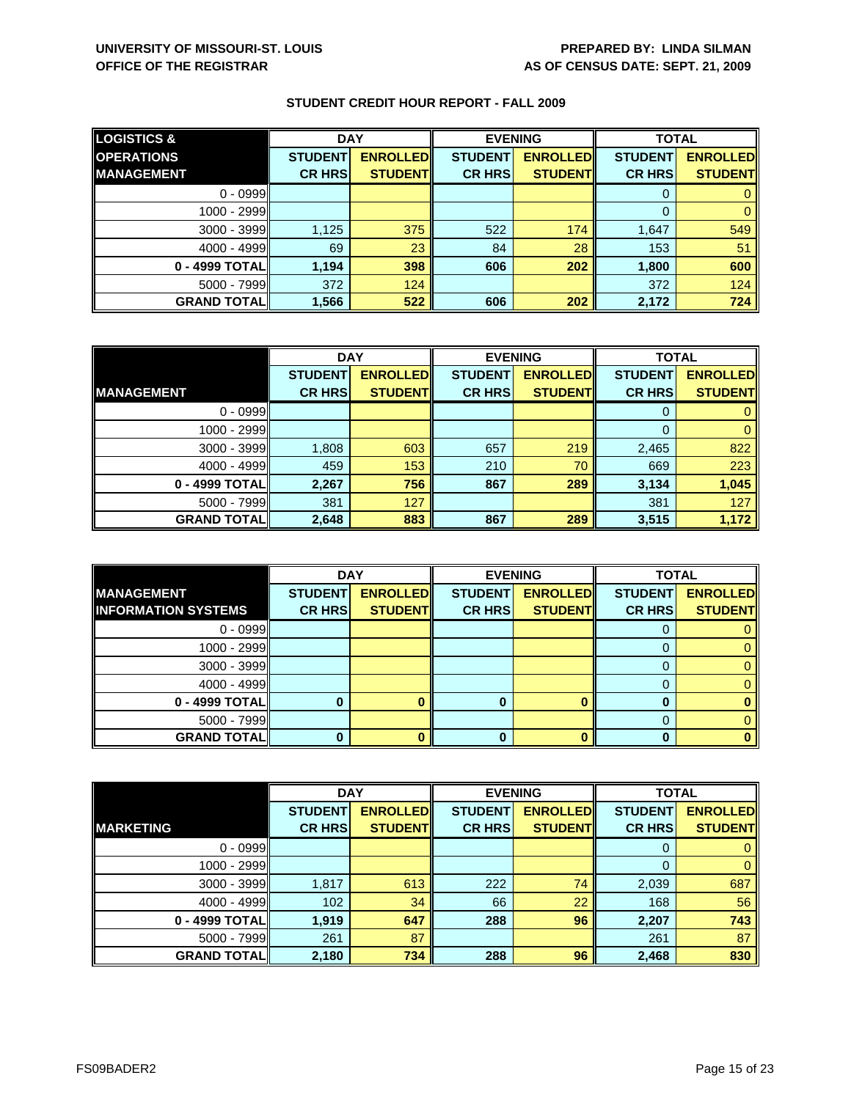| <b>LOGISTICS &amp;</b> | <b>DAY</b>     |                 | <b>EVENING</b> |                 | <b>TOTAL</b>   |                 |
|------------------------|----------------|-----------------|----------------|-----------------|----------------|-----------------|
| <b>OPERATIONS</b>      | <b>STUDENT</b> | <b>ENROLLED</b> | <b>STUDENT</b> | <b>ENROLLED</b> | <b>STUDENT</b> | <b>ENROLLED</b> |
| <b>IMANAGEMENT</b>     | <b>CR HRS</b>  | <b>STUDENT</b>  | <b>CR HRS</b>  | <b>STUDENT</b>  | <b>CR HRS</b>  | <b>STUDENT</b>  |
| $0 - 0999$             |                |                 |                |                 |                |                 |
| $1000 - 2999$          |                |                 |                |                 |                |                 |
| $3000 - 3999$          | 1,125          | 375             | 522            | 174             | 1,647          | 549             |
| $4000 - 4999$          | 69             | 23              | 84             | 28              | 153            | 51              |
| 0 - 4999 TOTAL         | 1,194          | 398             | 606            | 202             | 1,800          | 600             |
| $5000 - 7999$          | 372            | 124             |                |                 | 372            | 124             |
| <b>GRAND TOTALI</b>    | 1,566          | 522             | 606            | 202             | 2,172          | 724             |

|                    | <b>DAY</b>     |                 | <b>EVENING</b> |                 | <b>TOTAL</b>   |                 |
|--------------------|----------------|-----------------|----------------|-----------------|----------------|-----------------|
|                    | <b>STUDENT</b> | <b>ENROLLED</b> | <b>STUDENT</b> | <b>ENROLLED</b> | <b>STUDENT</b> | <b>ENROLLED</b> |
| <b>IMANAGEMENT</b> | <b>CR HRS</b>  | <b>STUDENT</b>  | <b>CR HRS</b>  | <b>STUDENT</b>  | <b>CR HRS</b>  | <b>STUDENT</b>  |
| $0 - 0999$         |                |                 |                |                 |                |                 |
| 1000 - 2999        |                |                 |                |                 |                |                 |
| $3000 - 3999$      | 1,808          | 603             | 657            | 219             | 2,465          | 822             |
| $4000 - 4999$      | 459            | 153             | 210            | 70              | 669            | 223             |
| 0 - 4999 TOTAL     | 2,267          | 756             | 867            | 289             | 3,134          | 1,045           |
| $5000 - 7999$      | 381            | 127             |                |                 | 381            | 127             |
| <b>GRAND TOTAL</b> | 2,648          | 883             | 867            | 289             | 3,515          | 1,172           |

|                                                 | <b>DAY</b>     |                 | <b>EVENING</b> |                 | <b>TOTAL</b>   |                 |
|-------------------------------------------------|----------------|-----------------|----------------|-----------------|----------------|-----------------|
| <b>MANAGEMENT</b><br><b>INFORMATION SYSTEMS</b> | <b>STUDENT</b> | <b>ENROLLED</b> | <b>STUDENT</b> | <b>ENROLLED</b> | <b>STUDENT</b> | <b>ENROLLED</b> |
|                                                 | <b>CR HRS</b>  | <b>STUDENT</b>  | <b>CR HRS</b>  | <b>STUDENT</b>  | <b>CR HRS</b>  | <b>STUDENT</b>  |
| $0 - 0999$                                      |                |                 |                |                 |                |                 |
| 1000 - 2999                                     |                |                 |                |                 |                |                 |
| $3000 - 3999$                                   |                |                 |                |                 |                |                 |
| $4000 - 4999$                                   |                |                 |                |                 |                |                 |
| 0 - 4999 TOTAL                                  |                |                 |                |                 |                |                 |
| $5000 - 7999$                                   |                |                 |                |                 |                |                 |
| <b>GRAND TOTALI</b>                             |                |                 | 0              |                 |                |                 |

|                    | <b>DAY</b>     |                 | <b>EVENING</b> |                 | <b>TOTAL</b>   |                 |
|--------------------|----------------|-----------------|----------------|-----------------|----------------|-----------------|
|                    | <b>STUDENT</b> | <b>ENROLLED</b> | <b>STUDENT</b> | <b>ENROLLED</b> | <b>STUDENT</b> | <b>ENROLLED</b> |
| <b>MARKETING</b>   | <b>CR HRS</b>  | <b>STUDENT</b>  | <b>CR HRS</b>  | <b>STUDENT</b>  | <b>CR HRS</b>  | <b>STUDENT</b>  |
| $0 - 0999$         |                |                 |                |                 | 0              | $\mathbf{0}$    |
| 1000 - 2999        |                |                 |                |                 | 0              | $\mathbf{0}$    |
| $3000 - 3999$      | 1,817          | 613             | 222            | 74              | 2,039          | 687             |
| $4000 - 4999$      | 102            | 34              | 66             | 22              | 168            | 56              |
| 0 - 4999 TOTAL     | 1,919          | 647             | 288            | 96              | 2,207          | 743             |
| $5000 - 7999$      | 261            | 87              |                |                 | 261            | 87              |
| <b>GRAND TOTAL</b> | 2,180          | 734             | 288            | 96              | 2,468          | 830             |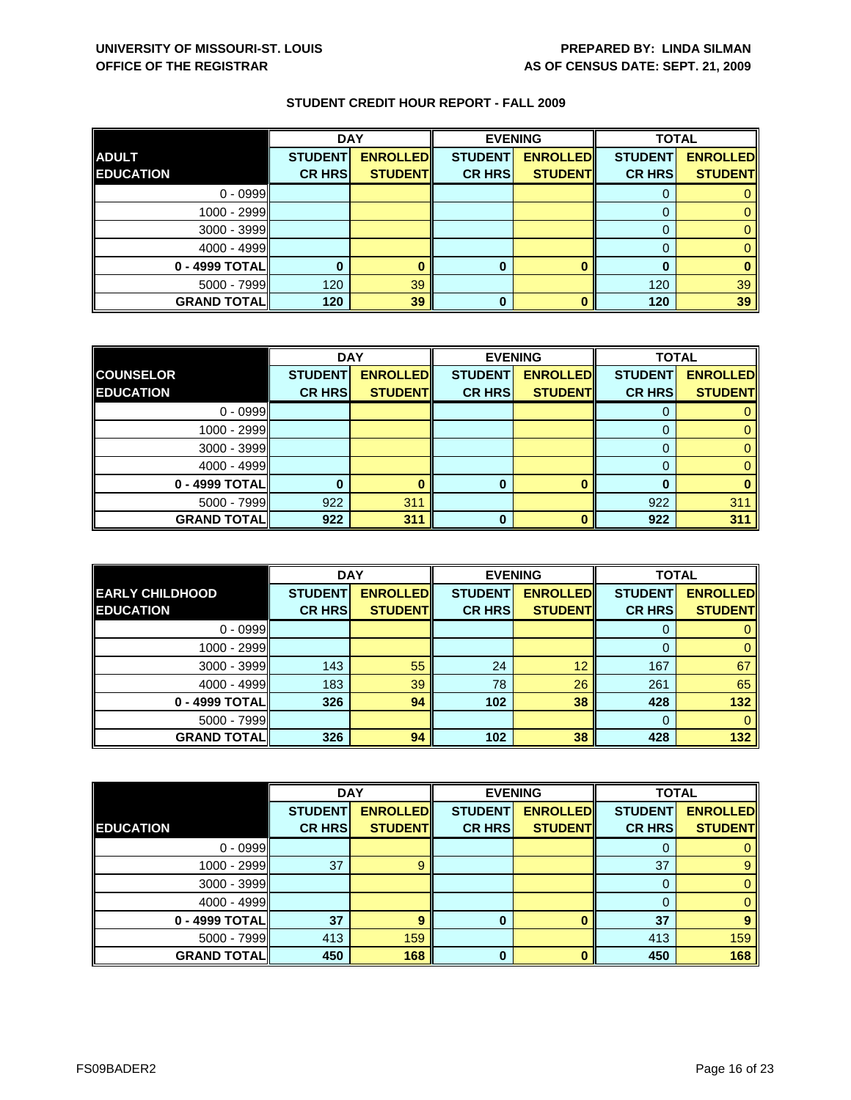|                    | <b>DAY</b>     |                 |                | <b>EVENING</b>  | <b>TOTAL</b>   |                 |
|--------------------|----------------|-----------------|----------------|-----------------|----------------|-----------------|
| <b>ADULT</b>       | <b>STUDENT</b> | <b>ENROLLED</b> | <b>STUDENT</b> | <b>ENROLLED</b> | <b>STUDENT</b> | <b>ENROLLED</b> |
| <b>EDUCATION</b>   | <b>CR HRS</b>  | <b>STUDENT</b>  | <b>CR HRS</b>  | <b>STUDENT</b>  | <b>CR HRS</b>  | <b>STUDENT</b>  |
| $0 - 0999$         |                |                 |                |                 |                |                 |
| $1000 - 2999$      |                |                 |                |                 |                |                 |
| $3000 - 3999$      |                |                 |                |                 |                |                 |
| $4000 - 4999$      |                |                 |                |                 |                |                 |
| 0 - 4999 TOTAL     |                |                 | 0              |                 |                |                 |
| $5000 - 7999$      | 120            | 39              |                |                 | 120            | 39              |
| <b>GRAND TOTAL</b> | 120            | 39              | 0              |                 | 120            | 39              |

|                    | <b>DAY</b>     |                 |                | <b>EVENING</b>  | <b>TOTAL</b>   |                 |
|--------------------|----------------|-----------------|----------------|-----------------|----------------|-----------------|
| <b>COUNSELOR</b>   | <b>STUDENT</b> | <b>ENROLLED</b> | <b>STUDENT</b> | <b>ENROLLED</b> | <b>STUDENT</b> | <b>ENROLLED</b> |
| <b>EDUCATION</b>   | <b>CR HRS</b>  | <b>STUDENT</b>  | <b>CR HRS</b>  | <b>STUDENT</b>  | <b>CR HRS</b>  | <b>STUDENT</b>  |
| $0 - 0999$         |                |                 |                |                 |                |                 |
| $1000 - 2999$      |                |                 |                |                 |                |                 |
| $3000 - 3999$      |                |                 |                |                 |                |                 |
| $4000 - 4999$      |                |                 |                |                 |                |                 |
| 0 - 4999 TOTAL     |                |                 | 0              |                 | 0              |                 |
| $5000 - 7999$      | 922            | 311             |                |                 | 922            | 311             |
| <b>GRAND TOTAL</b> | 922            | 311             | 0              |                 | 922            | 311             |

|                        | <b>DAY</b>     |                 |                | <b>EVENING</b>  | <b>TOTAL</b>   |                 |
|------------------------|----------------|-----------------|----------------|-----------------|----------------|-----------------|
| <b>EARLY CHILDHOOD</b> | <b>STUDENT</b> | <b>ENROLLED</b> | <b>STUDENT</b> | <b>ENROLLED</b> | <b>STUDENT</b> | <b>ENROLLED</b> |
| <b>EDUCATION</b>       | <b>CR HRS</b>  | <b>STUDENT</b>  | <b>CR HRS</b>  | <b>STUDENT</b>  | <b>CR HRS</b>  | <b>STUDENT</b>  |
| $0 - 0999$             |                |                 |                |                 | 0              | 0               |
| $1000 - 2999$          |                |                 |                |                 | 0              | $\mathbf{0}$    |
| $3000 - 3999$          | 143            | 55              | 24             | 12              | 167            | 67              |
| $4000 - 4999$          | 183            | 39              | 78             | 26              | 261            | 65              |
| 0 - 4999 TOTALI        | 326            | 94              | 102            | 38              | 428            | 132             |
| $5000 - 7999$          |                |                 |                |                 | 0              | $\mathbf{0}$    |
| <b>GRAND TOTALI</b>    | 326            | 94              | 102            | 38              | 428            | 132             |

|                    | <b>DAY</b>     |                 |                | <b>EVENING</b>  |                | <b>TOTAL</b>    |
|--------------------|----------------|-----------------|----------------|-----------------|----------------|-----------------|
|                    | <b>STUDENT</b> | <b>ENROLLED</b> | <b>STUDENT</b> | <b>ENROLLED</b> | <b>STUDENT</b> | <b>ENROLLED</b> |
| <b>EDUCATION</b>   | <b>CR HRS</b>  | <b>STUDENT</b>  | <b>CR HRS</b>  | <b>STUDENT</b>  | <b>CR HRS</b>  | <b>STUDENT</b>  |
| $0 - 0999$         |                |                 |                |                 |                | 0               |
| 1000 - 2999        | 37             | 9               |                |                 | 37             | 9               |
| 3000 - 3999        |                |                 |                |                 | 0              | $\mathbf{0}$    |
| $4000 - 4999$      |                |                 |                |                 |                | $\mathbf{0}$    |
| 0 - 4999 TOTAL     | 37             | 9               | $\bf{0}$       | $\bf{0}$        | 37             | 9               |
| $5000 - 7999$      | 413            | 159             |                |                 | 413            | 159             |
| <b>GRAND TOTAL</b> | 450            | 168             | $\bf{0}$       | $\mathbf{0}$    | 450            | 168             |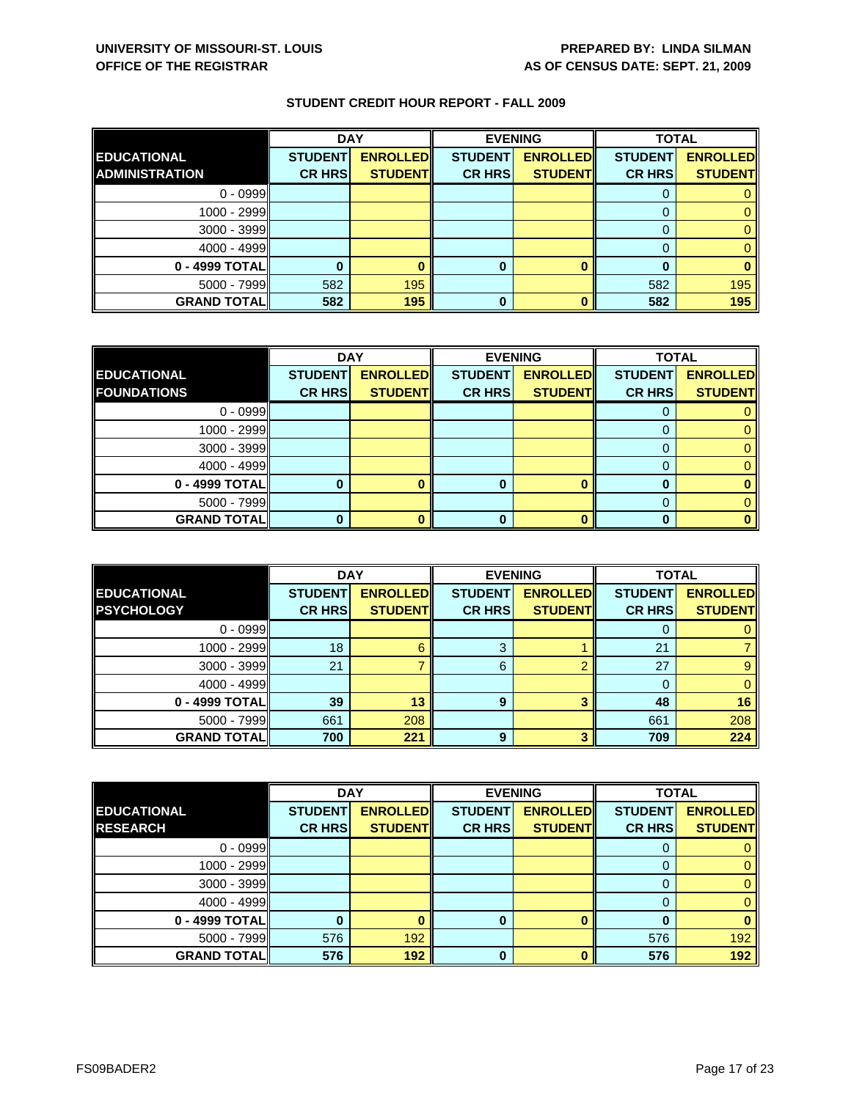|                       | <b>DAY</b>     |                 |                | <b>EVENING</b>  | <b>TOTAL</b>   |                 |
|-----------------------|----------------|-----------------|----------------|-----------------|----------------|-----------------|
| <b>EDUCATIONAL</b>    | <b>STUDENT</b> | <b>ENROLLED</b> | <b>STUDENT</b> | <b>ENROLLED</b> | <b>STUDENT</b> | <b>ENROLLED</b> |
| <b>ADMINISTRATION</b> | <b>CR HRS</b>  | <b>STUDENT</b>  | <b>CR HRS</b>  | <b>STUDENTI</b> | <b>CR HRS</b>  | <b>STUDENT</b>  |
| $0 - 0999$            |                |                 |                |                 |                |                 |
| 1000 - 2999           |                |                 |                |                 |                |                 |
| 3000 - 3999           |                |                 |                |                 |                |                 |
| $4000 - 4999$         |                |                 |                |                 |                |                 |
| 0 - 4999 TOTALI       |                |                 | Ω              |                 |                |                 |
| $5000 - 7999$         | 582            | 195             |                |                 | 582            | 195             |
| <b>GRAND TOTAL</b>    | 582            | 195             | 0              |                 | 582            | 195             |

|                    | <b>DAY</b>     |                 |                | <b>EVENING</b>  | <b>TOTAL</b>   |                 |
|--------------------|----------------|-----------------|----------------|-----------------|----------------|-----------------|
| <b>EDUCATIONAL</b> | <b>STUDENT</b> | <b>ENROLLED</b> | <b>STUDENT</b> | <b>ENROLLED</b> | <b>STUDENT</b> | <b>ENROLLED</b> |
| <b>FOUNDATIONS</b> | <b>CR HRS</b>  | <b>STUDENT</b>  | <b>CR HRS</b>  | <b>STUDENT</b>  | <b>CR HRS</b>  | <b>STUDENT</b>  |
| $0 - 0999$         |                |                 |                |                 |                |                 |
| $1000 - 2999$      |                |                 |                |                 |                |                 |
| 3000 - 3999        |                |                 |                |                 |                |                 |
| $4000 - 4999$      |                |                 |                |                 |                |                 |
| 0 - 4999 TOTAL     |                |                 | 0              |                 |                |                 |
| $5000 - 7999$      |                |                 |                |                 |                |                 |
| <b>GRAND TOTAL</b> |                |                 | U              |                 |                |                 |

|                    | <b>DAY</b>     |                 | <b>EVENING</b> |                 | <b>TOTAL</b>   |                 |
|--------------------|----------------|-----------------|----------------|-----------------|----------------|-----------------|
| <b>EDUCATIONAL</b> | <b>STUDENT</b> | <b>ENROLLED</b> | <b>STUDENT</b> | <b>ENROLLED</b> | <b>STUDENT</b> | <b>ENROLLED</b> |
| <b>PSYCHOLOGY</b>  | <b>CR HRS</b>  | <b>STUDENT</b>  | <b>CR HRS</b>  | <b>STUDENT</b>  | <b>CR HRS</b>  | <b>STUDENT</b>  |
| $0 - 0999$         |                |                 |                |                 |                |                 |
| $1000 - 2999$      | 18             | 6               | 3              |                 | 21             |                 |
| $3000 - 3999$      | 21             |                 | 6              |                 | 27             |                 |
| $4000 - 4999$      |                |                 |                |                 |                |                 |
| 0 - 4999 TOTALI    | 39             | 13              | 9              |                 | 48             | 16              |
| $5000 - 7999$      | 661            | 208             |                |                 | 661            | 208             |
| <b>GRAND TOTAL</b> | 700            | 221             | 9              |                 | 709            | 224             |

|                    | <b>DAY</b>     |                 |                | <b>EVENING</b>  | <b>TOTAL</b>   |                 |
|--------------------|----------------|-----------------|----------------|-----------------|----------------|-----------------|
| <b>EDUCATIONAL</b> | <b>STUDENT</b> | <b>ENROLLED</b> | <b>STUDENT</b> | <b>ENROLLED</b> | <b>STUDENT</b> | <b>ENROLLED</b> |
| <b>RESEARCH</b>    | <b>CR HRS</b>  | <b>STUDENT</b>  | <b>CR HRS</b>  | <b>STUDENT</b>  | <b>CR HRS</b>  | <b>STUDENT</b>  |
| $0 - 0999$         |                |                 |                |                 | U              | 0               |
| 1000 - 2999        |                |                 |                |                 | 0              | $\mathbf{0}$    |
| $3000 - 3999$      |                |                 |                |                 | $\Omega$       | $\mathbf{0}$    |
| $4000 - 4999$      |                |                 |                |                 | 0              | $\mathbf{0}$    |
| 0 - 4999 TOTAL     |                |                 | 0              |                 | 0              | $\bf{0}$        |
| $5000 - 7999$      | 576            | 192             |                |                 | 576            | 192             |
| <b>GRAND TOTAL</b> | 576            | 192             | $\bf{0}$       | n               | 576            | 192             |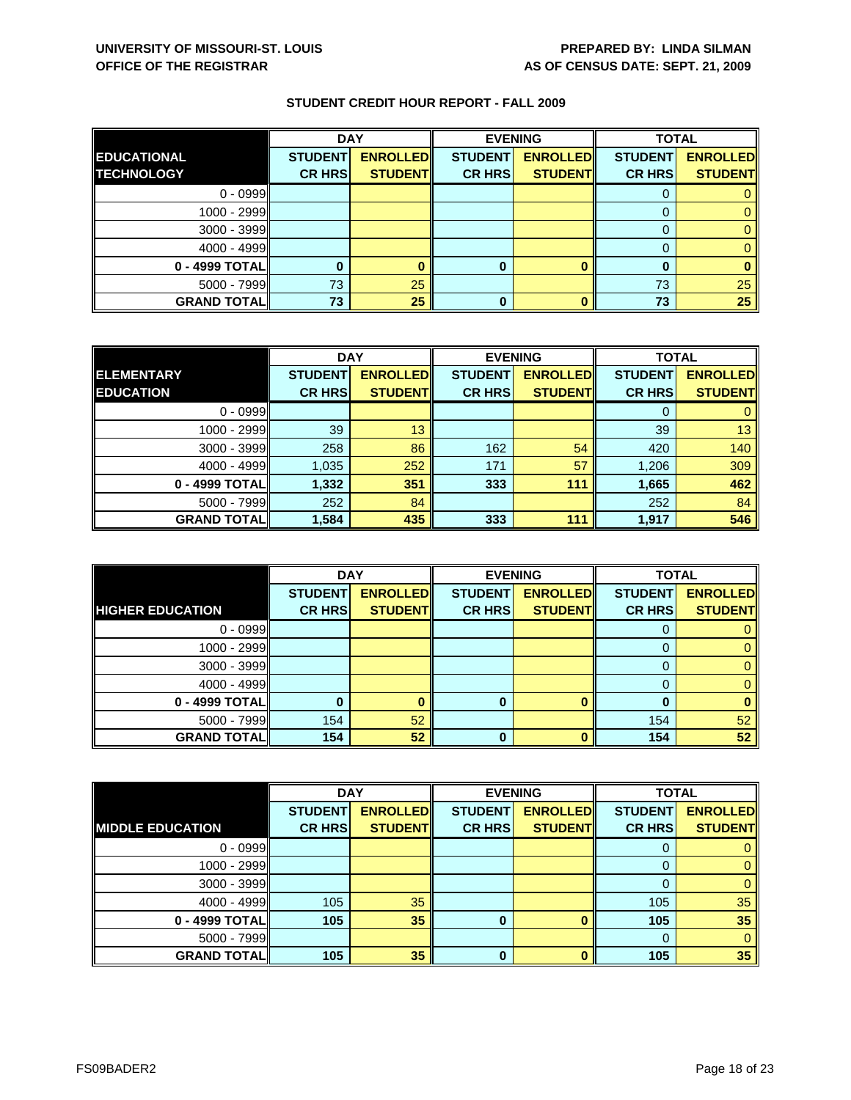|                    | <b>DAY</b>     |                 | <b>EVENING</b> |                 | <b>TOTAL</b>   |                 |
|--------------------|----------------|-----------------|----------------|-----------------|----------------|-----------------|
| <b>EDUCATIONAL</b> | <b>STUDENT</b> | <b>ENROLLED</b> | <b>STUDENT</b> | <b>ENROLLED</b> | <b>STUDENT</b> | <b>ENROLLED</b> |
| <b>TECHNOLOGY</b>  | <b>CR HRS</b>  | <b>STUDENT</b>  | <b>CR HRS</b>  | <b>STUDENT</b>  | <b>CR HRS</b>  | <b>STUDENT</b>  |
| $0 - 0999$         |                |                 |                |                 |                |                 |
| $1000 - 2999$      |                |                 |                |                 |                |                 |
| $3000 - 3999$      |                |                 |                |                 |                |                 |
| $4000 - 4999$      |                |                 |                |                 |                |                 |
| 0 - 4999 TOTAL     |                |                 | 0              |                 |                |                 |
| $5000 - 7999$      | 73             | 25              |                |                 | 73             | 25              |
| <b>GRAND TOTAL</b> | 73             | 25              | 0              |                 | 73             | 25              |

|                    | <b>DAY</b>     |                 | <b>EVENING</b> |                 | <b>TOTAL</b>   |                 |
|--------------------|----------------|-----------------|----------------|-----------------|----------------|-----------------|
| <b>ELEMENTARY</b>  | <b>STUDENT</b> | <b>ENROLLED</b> | <b>STUDENT</b> | <b>ENROLLED</b> | <b>STUDENT</b> | <b>ENROLLED</b> |
| <b>EDUCATION</b>   | <b>CR HRS</b>  | <b>STUDENT</b>  | <b>CR HRS</b>  | <b>STUDENT</b>  | <b>CR HRS</b>  | <b>STUDENT</b>  |
| $0 - 0999$         |                |                 |                |                 |                |                 |
| 1000 - 2999        | 39             | 13              |                |                 | 39             | 13              |
| $3000 - 3999$      | 258            | 86              | 162            | 54              | 420            | 140             |
| $4000 - 4999$      | 1,035          | 252             | 171            | 57              | 1,206          | 309             |
| 0 - 4999 TOTAL     | 1,332          | 351             | 333            | 111             | 1,665          | 462             |
| $5000 - 7999$      | 252            | 84              |                |                 | 252            | 84              |
| <b>GRAND TOTAL</b> | 1,584          | 435             | 333            | 111             | 1,917          | 546             |

|                         | <b>DAY</b>                      |                                   |                                 | <b>EVENING</b>                    | <b>TOTAL</b>                    |                                   |
|-------------------------|---------------------------------|-----------------------------------|---------------------------------|-----------------------------------|---------------------------------|-----------------------------------|
| <b>HIGHER EDUCATION</b> | <b>STUDENT</b><br><b>CR HRS</b> | <b>ENROLLED</b><br><b>STUDENT</b> | <b>STUDENT</b><br><b>CR HRS</b> | <b>ENROLLED</b><br><b>STUDENT</b> | <b>STUDENT</b><br><b>CR HRS</b> | <b>ENROLLED</b><br><b>STUDENT</b> |
|                         |                                 |                                   |                                 |                                   |                                 |                                   |
| $0 - 0999$              |                                 |                                   |                                 |                                   | O                               |                                   |
| 1000 - 2999             |                                 |                                   |                                 |                                   |                                 |                                   |
| $3000 - 3999$           |                                 |                                   |                                 |                                   |                                 |                                   |
| $4000 - 4999$           |                                 |                                   |                                 |                                   | $\Omega$                        |                                   |
| 0 - 4999 TOTAL          |                                 |                                   |                                 | n                                 |                                 |                                   |
| $5000 - 7999$           | 154                             | 52                                |                                 |                                   | 154                             | 52                                |
| <b>GRAND TOTAL</b>      | 154                             | 52                                | 0                               |                                   | 154                             | 52                                |

|                         | <b>DAY</b>     |                 |                | <b>EVENING</b>  | <b>TOTAL</b>   |                 |
|-------------------------|----------------|-----------------|----------------|-----------------|----------------|-----------------|
|                         | <b>STUDENT</b> | <b>ENROLLED</b> | <b>STUDENT</b> | <b>ENROLLED</b> | <b>STUDENT</b> | <b>ENROLLED</b> |
| <b>MIDDLE EDUCATION</b> | <b>CR HRS</b>  | <b>STUDENT</b>  | <b>CR HRS</b>  | <b>STUDENT</b>  | <b>CR HRS</b>  | <b>STUDENT</b>  |
| $0 - 0999$              |                |                 |                |                 | O              | 0               |
| 1000 - 2999             |                |                 |                |                 | 0              | $\mathbf{0}$    |
| $3000 - 3999$           |                |                 |                |                 | $\Omega$       | $\mathbf{0}$    |
| $4000 - 4999$           | 105            | 35              |                |                 | 105            | 35              |
| 0 - 4999 TOTAL          | 105            | 35              | 0              |                 | 105            | 35              |
| $5000 - 7999$           |                |                 |                |                 | $\Omega$       | $\mathbf{0}$    |
| <b>GRAND TOTAL</b>      | 105            | 35              | $\bf{0}$       | n               | 105            | 35              |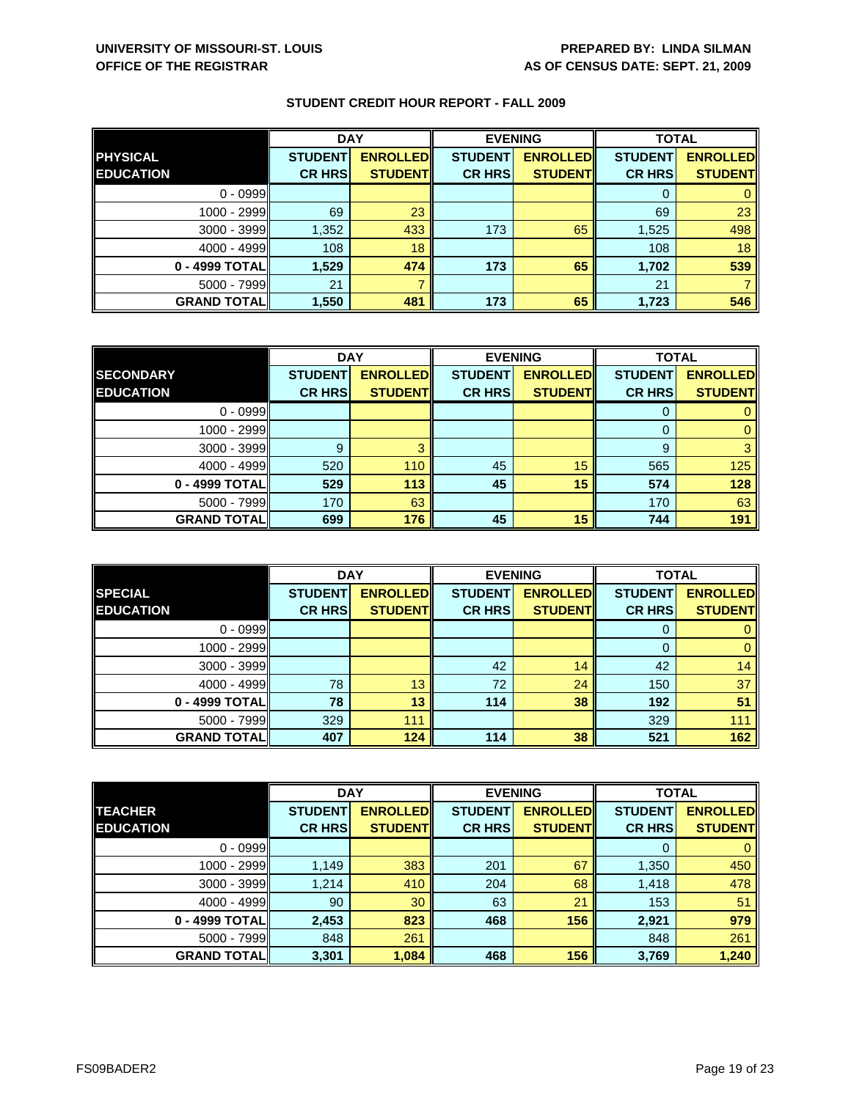|                     | <b>DAY</b>     |                 | <b>EVENING</b> |                 | <b>TOTAL</b>   |                 |
|---------------------|----------------|-----------------|----------------|-----------------|----------------|-----------------|
| <b>PHYSICAL</b>     | <b>STUDENT</b> | <b>ENROLLED</b> | <b>STUDENT</b> | <b>ENROLLED</b> | <b>STUDENT</b> | <b>ENROLLED</b> |
| <b>EDUCATION</b>    | <b>CR HRS</b>  | <b>STUDENT</b>  | <b>CR HRS</b>  | <b>STUDENT</b>  | <b>CR HRS</b>  | <b>STUDENT</b>  |
| $0 - 0999$          |                |                 |                |                 |                |                 |
| 1000 - 2999         | 69             | 23              |                |                 | 69             | 23              |
| $3000 - 3999$       | 1,352          | 433             | 173            | 65              | 1,525          | 498             |
| $4000 - 4999$       | 108            | 18              |                |                 | 108            | 18              |
| 0 - 4999 TOTAL      | 1,529          | 474             | 173            | 65              | 1,702          | 539             |
| $5000 - 7999$       | 21             |                 |                |                 | 21             |                 |
| <b>GRAND TOTALI</b> | 1,550          | 481             | 173            | 65              | 1,723          | 546             |

|                    | <b>DAY</b>     |                 | <b>EVENING</b> |                 | <b>TOTAL</b>   |                 |
|--------------------|----------------|-----------------|----------------|-----------------|----------------|-----------------|
| <b>SECONDARY</b>   | <b>STUDENT</b> | <b>ENROLLED</b> | <b>STUDENT</b> | <b>ENROLLED</b> | <b>STUDENT</b> | <b>ENROLLED</b> |
| <b>EDUCATION</b>   | <b>CR HRS</b>  | <b>STUDENT</b>  | <b>CR HRS</b>  | <b>STUDENT</b>  | <b>CR HRS</b>  | <b>STUDENT</b>  |
| $0 - 0999$         |                |                 |                |                 |                |                 |
| 1000 - 2999        |                |                 |                |                 |                |                 |
| $3000 - 3999$      | 9              |                 |                |                 | 9              |                 |
| $4000 - 4999$      | 520            | 110             | 45             | 15              | 565            | 125             |
| 0 - 4999 TOTAL     | 529            | 113             | 45             | 15              | 574            | 128             |
| $5000 - 7999$      | 170            | 63              |                |                 | 170            | 63              |
| <b>GRAND TOTAL</b> | 699            | 176             | 45             | 15              | 744            | 191             |

|                                    | <b>DAY</b>                      |                                    | <b>EVENING</b>                  |                                    | <b>TOTAL</b>                    |                                   |
|------------------------------------|---------------------------------|------------------------------------|---------------------------------|------------------------------------|---------------------------------|-----------------------------------|
| <b>SPECIAL</b><br><b>EDUCATION</b> | <b>STUDENT</b><br><b>CR HRS</b> | <b>ENROLLED</b><br><b>STUDENTI</b> | <b>STUDENT</b><br><b>CR HRS</b> | <b>ENROLLED</b><br><b>STUDENTI</b> | <b>STUDENT</b><br><b>CR HRS</b> | <b>ENROLLED</b><br><b>STUDENT</b> |
|                                    |                                 |                                    |                                 |                                    |                                 |                                   |
| $0 - 0999$                         |                                 |                                    |                                 |                                    | O                               |                                   |
| 1000 - 2999                        |                                 |                                    |                                 |                                    |                                 |                                   |
| $3000 - 3999$                      |                                 |                                    | 42                              | 14                                 | 42                              | 14                                |
| $4000 - 4999$                      | 78                              | 13                                 | 72                              | 24                                 | 150                             | 37                                |
| 0 - 4999 TOTALI                    | 78                              | 13                                 | 114                             | 38                                 | 192                             | 51                                |
| $5000 - 7999$                      | 329                             | 111                                |                                 |                                    | 329                             | 111                               |
| <b>GRAND TOTALI</b>                | 407                             | 124                                | 114                             | 38                                 | 521                             | 162                               |

|                    | <b>DAY</b>     |                 | <b>EVENING</b> |                 | <b>TOTAL</b>   |                 |
|--------------------|----------------|-----------------|----------------|-----------------|----------------|-----------------|
| <b>TEACHER</b>     | <b>STUDENT</b> | <b>ENROLLED</b> | <b>STUDENT</b> | <b>ENROLLED</b> | <b>STUDENT</b> | <b>ENROLLED</b> |
| <b>EDUCATION</b>   | <b>CR HRS</b>  | <b>STUDENT</b>  | <b>CR HRS</b>  | <b>STUDENT</b>  | <b>CR HRS</b>  | <b>STUDENT</b>  |
| $0 - 0999$         |                |                 |                |                 | 0              | $\mathbf{0}$    |
| 1000 - 2999        | 1,149          | 383             | 201            | 67              | 1,350          | 450             |
| $3000 - 3999$      | 1,214          | 410             | 204            | 68              | 1,418          | 478             |
| $4000 - 4999$      | 90             | 30              | 63             | 21              | 153            | 51              |
| 0 - 4999 TOTAL     | 2,453          | 823             | 468            | 156             | 2,921          | 979             |
| 5000 - 7999        | 848            | 261             |                |                 | 848            | 261             |
| <b>GRAND TOTAL</b> | 3,301          | 1,084           | 468            | 156             | 3,769          | 1,240           |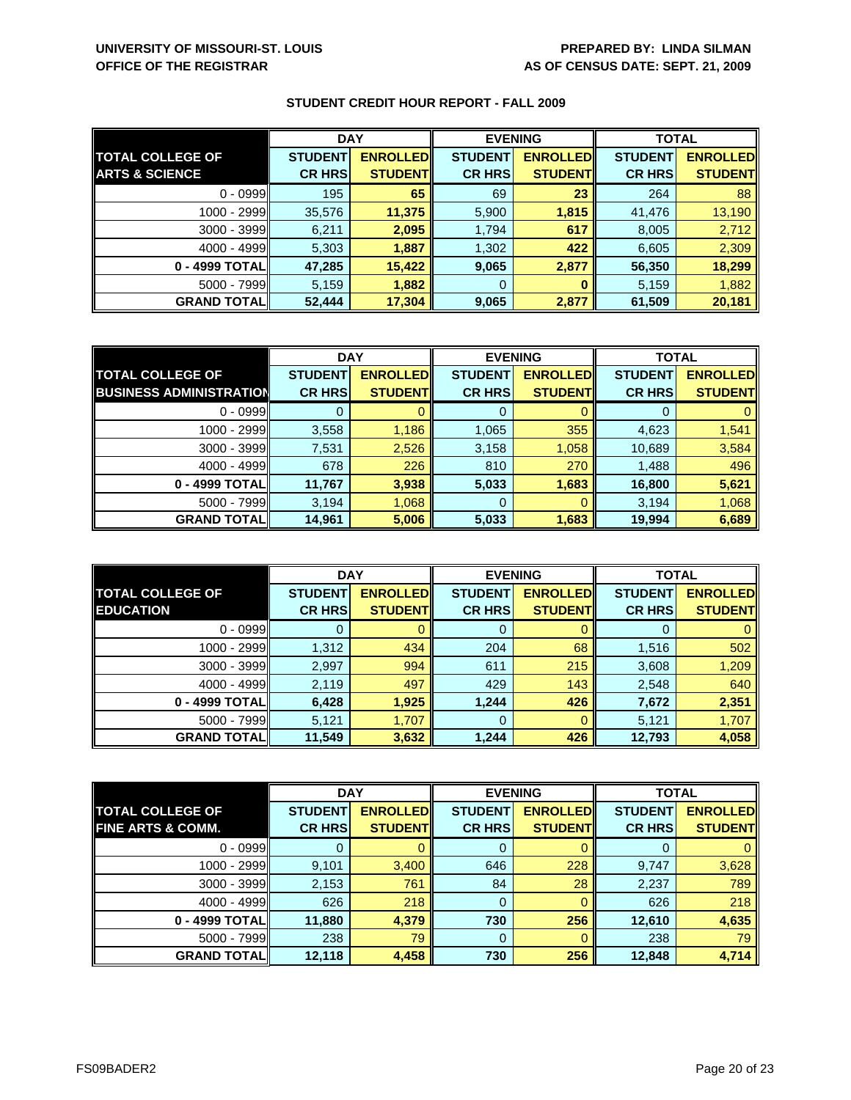|                           | <b>DAY</b>     |                 | <b>EVENING</b> |                 | <b>TOTAL</b>   |                 |
|---------------------------|----------------|-----------------|----------------|-----------------|----------------|-----------------|
| <b>TOTAL COLLEGE OF</b>   | <b>STUDENT</b> | <b>ENROLLED</b> | <b>STUDENT</b> | <b>ENROLLED</b> | <b>STUDENT</b> | <b>ENROLLED</b> |
| <b>ARTS &amp; SCIENCE</b> | <b>CR HRS</b>  | <b>STUDENTI</b> | <b>CR HRS</b>  | <b>STUDENT</b>  | <b>CR HRS</b>  | <b>STUDENT</b>  |
| $0 - 0999$                | 195            | 65              | 69             | 23              | 264            | 88              |
| 1000 - 2999               | 35,576         | 11,375          | 5,900          | 1,815           | 41,476         | 13,190          |
| $3000 - 3999$             | 6,211          | 2,095           | 1,794          | 617             | 8,005          | 2,712           |
| $4000 - 4999$             | 5,303          | 1,887           | 1,302          | 422             | 6,605          | 2,309           |
| 0 - 4999 TOTAL            | 47,285         | 15,422          | 9,065          | 2,877           | 56,350         | 18,299          |
| $5000 - 7999$             | 5,159          | 1,882           | 0              |                 | 5,159          | 1,882           |
| <b>GRAND TOTAL</b>        | 52,444         | 17,304          | 9,065          | 2,877           | 61,509         | 20,181          |

|                                | <b>DAY</b>     |                 | <b>EVENING</b> |                 | <b>TOTAL</b>   |                 |
|--------------------------------|----------------|-----------------|----------------|-----------------|----------------|-----------------|
| <b>TOTAL COLLEGE OF</b>        | <b>STUDENT</b> | <b>ENROLLED</b> | <b>STUDENT</b> | <b>ENROLLED</b> | <b>STUDENT</b> | <b>ENROLLED</b> |
| <b>BUSINESS ADMINISTRATION</b> | <b>CR HRS</b>  | <b>STUDENT</b>  | <b>CR HRS</b>  | <b>STUDENT</b>  | <b>CR HRS</b>  | <b>STUDENT</b>  |
| $0 - 0999$                     |                |                 | 0              |                 |                |                 |
| $1000 - 2999$                  | 3,558          | 1,186           | 1,065          | 355             | 4,623          | 1,541           |
| $3000 - 3999$                  | 7,531          | 2,526           | 3,158          | 1,058           | 10,689         | 3,584           |
| $4000 - 4999$                  | 678            | 226             | 810            | 270             | 1,488          | 496             |
| 0 - 4999 TOTAL                 | 11,767         | 3,938           | 5,033          | 1,683           | 16,800         | 5,621           |
| $5000 - 7999$                  | 3,194          | 1,068           | 0              |                 | 3,194          | 1,068           |
| <b>GRAND TOTAL</b>             | 14,961         | 5,006           | 5,033          | 1,683           | 19,994         | 6,689           |

|                                             | <b>DAY</b>                      |                                   | <b>EVENING</b>                  |                                    | <b>TOTAL</b>                    |                                   |
|---------------------------------------------|---------------------------------|-----------------------------------|---------------------------------|------------------------------------|---------------------------------|-----------------------------------|
| <b>TOTAL COLLEGE OF</b><br><b>EDUCATION</b> | <b>STUDENT</b><br><b>CR HRS</b> | <b>ENROLLED</b><br><b>STUDENT</b> | <b>STUDENT</b><br><b>CR HRS</b> | <b>ENROLLED</b><br><b>STUDENTI</b> | <b>STUDENT</b><br><b>CR HRS</b> | <b>ENROLLED</b><br><b>STUDENT</b> |
|                                             |                                 |                                   |                                 |                                    |                                 |                                   |
| $0 - 0999$                                  |                                 |                                   | 0                               |                                    |                                 |                                   |
| 1000 - 2999                                 | 1,312                           | 434                               | 204                             | 68                                 | 1,516                           | 502                               |
| $3000 - 3999$                               | 2,997                           | 994                               | 611                             | 215                                | 3,608                           | 1,209                             |
| $4000 - 4999$                               | 2,119                           | 497                               | 429                             | 143                                | 2,548                           | 640                               |
| 0 - 4999 TOTAL                              | 6,428                           | 1,925                             | 1,244                           | 426                                | 7,672                           | 2,351                             |
| $5000 - 7999$                               | 5,121                           | 1,707                             | 0                               |                                    | 5,121                           | 1,707                             |
| <b>GRAND TOTAL</b>                          | 11,549                          | 3,632                             | 1,244                           | 426                                | 12,793                          | 4,058                             |

|                              | <b>DAY</b>     |                 | <b>EVENING</b> |                 | <b>TOTAL</b>   |                 |
|------------------------------|----------------|-----------------|----------------|-----------------|----------------|-----------------|
| <b>TOTAL COLLEGE OF</b>      | <b>STUDENT</b> | <b>ENROLLED</b> | <b>STUDENT</b> | <b>ENROLLED</b> | <b>STUDENT</b> | <b>ENROLLED</b> |
| <b>FINE ARTS &amp; COMM.</b> | <b>CR HRS</b>  | <b>STUDENT</b>  | <b>CR HRS</b>  | <b>STUDENT</b>  | <b>CR HRS</b>  | <b>STUDENT</b>  |
| $0 - 0999$                   |                |                 | 0              |                 | O              | $\mathbf{0}$    |
| 1000 - 2999                  | 9,101          | 3,400           | 646            | 228             | 9,747          | 3,628           |
| $3000 - 3999$                | 2,153          | 761             | 84             | 28              | 2,237          | 789             |
| $4000 - 4999$                | 626            | 218             | 0              |                 | 626            | 218             |
| 0 - 4999 TOTAL               | 11,880         | 4,379           | 730            | 256             | 12,610         | 4,635           |
| $5000 - 7999$                | 238            | 79              | $\mathbf 0$    |                 | 238            | 79              |
| <b>GRAND TOTALI</b>          | 12,118         | 4,458           | 730            | 256             | 12,848         | 4,714           |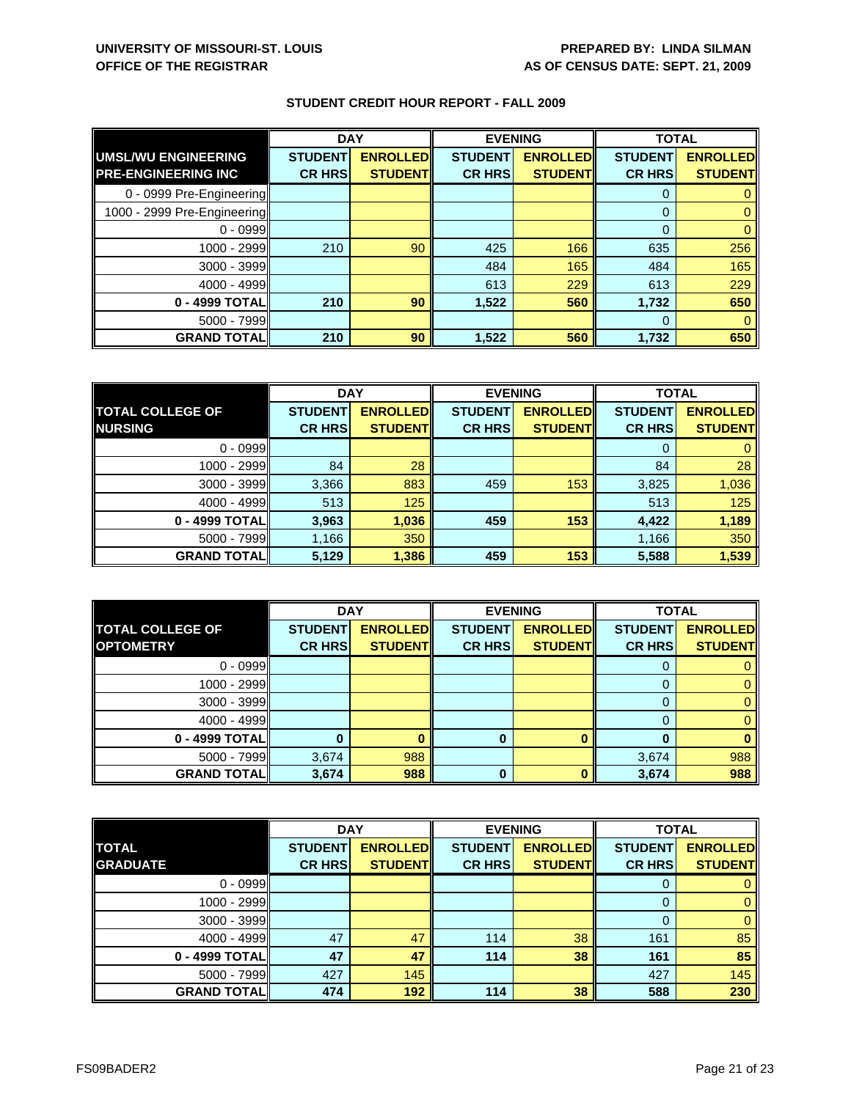|                             | <b>DAY</b>     |                 | <b>EVENING</b> |                 | <b>TOTAL</b>   |                 |
|-----------------------------|----------------|-----------------|----------------|-----------------|----------------|-----------------|
| UMSL/WU ENGINEERING         | <b>STUDENT</b> | <b>ENROLLED</b> | <b>STUDENT</b> | <b>ENROLLED</b> | <b>STUDENT</b> | <b>ENROLLED</b> |
| <b>PRE-ENGINEERING INC</b>  | <b>CR HRS</b>  | <b>STUDENT</b>  | <b>CR HRS</b>  | <b>STUDENT</b>  | <b>CR HRS</b>  | <b>STUDENT</b>  |
| 0 - 0999 Pre-Engineering    |                |                 |                |                 | $\Omega$       |                 |
| 1000 - 2999 Pre-Engineering |                |                 |                |                 | $\Omega$       |                 |
| $0 - 0999$                  |                |                 |                |                 | $\Omega$       |                 |
| $1000 - 2999$               | 210            | 90              | 425            | 166             | 635            | 256             |
| $3000 - 3999$               |                |                 | 484            | 165             | 484            | 165             |
| $4000 - 4999$               |                |                 | 613            | 229             | 613            | 229             |
| 0 - 4999 TOTAL              | 210            | 90              | 1,522          | 560             | 1,732          | 650             |
| $5000 - 7999$               |                |                 |                |                 | $\Omega$       |                 |
| <b>GRAND TOTAL</b>          | 210            | 90              | 1,522          | 560             | 1,732          | 650             |

|                         | <b>DAY</b>     |                 | <b>EVENING</b> |                 | <b>TOTAL</b>   |                 |
|-------------------------|----------------|-----------------|----------------|-----------------|----------------|-----------------|
| <b>TOTAL COLLEGE OF</b> | <b>STUDENT</b> | <b>ENROLLED</b> | <b>STUDENT</b> | <b>ENROLLED</b> | <b>STUDENT</b> | <b>ENROLLED</b> |
| <b>NURSING</b>          | <b>CR HRS</b>  | <b>STUDENT</b>  | <b>CR HRS</b>  | <b>STUDENT</b>  | <b>CR HRS</b>  | <b>STUDENT</b>  |
| $0 - 0999$              |                |                 |                |                 |                |                 |
| 1000 - 2999             | 84             | 28              |                |                 | 84             | 28              |
| $3000 - 3999$           | 3,366          | 883             | 459            | 153             | 3,825          | 1,036           |
| $4000 - 4999$           | 513            | 125             |                |                 | 513            | 125             |
| 0 - 4999 TOTAL          | 3,963          | 1,036           | 459            | 153             | 4,422          | 1,189           |
| $5000 - 7999$           | 1,166          | 350             |                |                 | 1,166          | 350             |
| <b>GRAND TOTAL</b>      | 5,129          | 1,386           | 459            | 153             | 5,588          | 1,539           |

|                         | <b>DAY</b>     |                 | <b>EVENING</b> |                 | <b>TOTAL</b>   |                 |
|-------------------------|----------------|-----------------|----------------|-----------------|----------------|-----------------|
| <b>TOTAL COLLEGE OF</b> | <b>STUDENT</b> | <b>ENROLLED</b> | <b>STUDENT</b> | <b>ENROLLED</b> | <b>STUDENT</b> | <b>ENROLLED</b> |
| <b>OPTOMETRY</b>        | <b>CR HRS</b>  | <b>STUDENT</b>  | <b>CR HRS</b>  | <b>STUDENT</b>  | <b>CR HRS</b>  | <b>STUDENT</b>  |
| $0 - 0999$              |                |                 |                |                 |                |                 |
| 1000 - 2999             |                |                 |                |                 |                |                 |
| 3000 - 3999             |                |                 |                |                 |                |                 |
| $4000 - 4999$           |                |                 |                |                 |                |                 |
| 0 - 4999 TOTAL          |                |                 | 0              |                 | n              |                 |
| $5000 - 7999$           | 3,674          | 988             |                |                 | 3,674          | 988             |
| <b>GRAND TOTAL</b>      | 3,674          | 988             | 0              |                 | 3,674          | 988             |

|                    | <b>DAY</b>     |                 | <b>EVENING</b> |                 | <b>TOTAL</b>   |                 |
|--------------------|----------------|-----------------|----------------|-----------------|----------------|-----------------|
| <b>TOTAL</b>       | <b>STUDENT</b> | <b>ENROLLED</b> | <b>STUDENT</b> | <b>ENROLLED</b> | <b>STUDENT</b> | <b>ENROLLED</b> |
| <b>GRADUATE</b>    | <b>CR HRS</b>  | <b>STUDENT</b>  | <b>CR HRS</b>  | <b>STUDENT</b>  | <b>CR HRS</b>  | <b>STUDENT</b>  |
| $0 - 0999$         |                |                 |                |                 |                |                 |
| 1000 - 2999        |                |                 |                |                 |                |                 |
| $3000 - 3999$      |                |                 |                |                 |                |                 |
| $4000 - 4999$      | 47             | 47              | 114            | 38              | 161            | 85              |
| 0 - 4999 TOTAL     | 47             | 47              | 114            | 38              | 161            | 85              |
| $5000 - 7999$      | 427            | 145             |                |                 | 427            | 145             |
| <b>GRAND TOTAL</b> | 474            | 192             | 114            | 38              | 588            | 230             |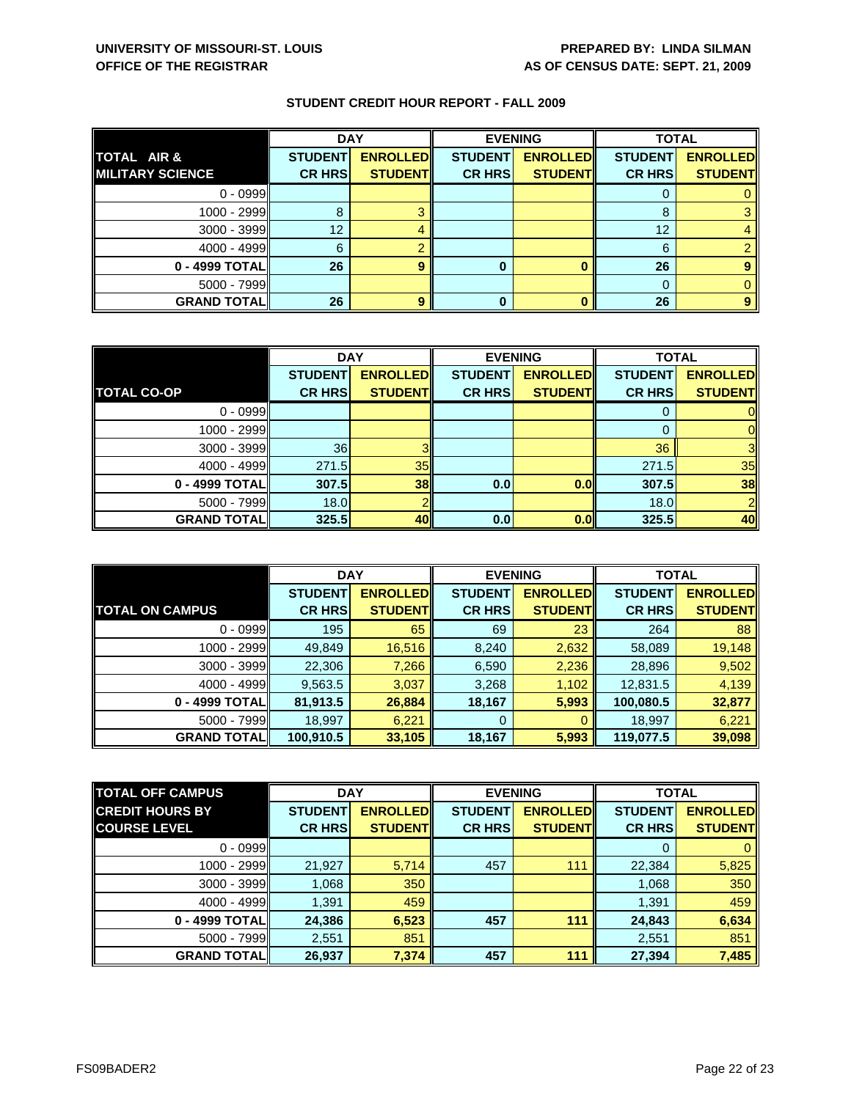|                         | <b>DAY</b>     |                 | <b>EVENING</b> |                 | <b>TOTAL</b>   |                 |
|-------------------------|----------------|-----------------|----------------|-----------------|----------------|-----------------|
| TOTAL AIR &             | <b>STUDENT</b> | <b>ENROLLED</b> | <b>STUDENT</b> | <b>ENROLLED</b> | <b>STUDENT</b> | <b>ENROLLED</b> |
| <b>MILITARY SCIENCE</b> | <b>CR HRS</b>  | <b>STUDENT</b>  | <b>CR HRS</b>  | <b>STUDENT</b>  | <b>CR HRS</b>  | <b>STUDENT</b>  |
| $0 - 0999$              |                |                 |                |                 |                |                 |
| $1000 - 2999$           |                |                 |                |                 | 8              |                 |
| $3000 - 3999$           | 12             |                 |                |                 | 12             |                 |
| $4000 - 4999$           | 6              |                 |                |                 | 6              |                 |
| 0 - 4999 TOTAL          | 26             |                 | 0              |                 | 26             |                 |
| $5000 - 7999$           |                |                 |                |                 |                |                 |
| <b>GRAND TOTAL</b>      | 26             |                 | 0              |                 | 26             |                 |

|                    | <b>DAY</b>     |                 | <b>EVENING</b> |                 | <b>TOTAL</b>   |                 |
|--------------------|----------------|-----------------|----------------|-----------------|----------------|-----------------|
|                    | <b>STUDENT</b> | <b>ENROLLED</b> | <b>STUDENT</b> | <b>ENROLLED</b> | <b>STUDENT</b> | <b>ENROLLED</b> |
| <b>TOTAL CO-OP</b> | <b>CR HRS</b>  | <b>STUDENT</b>  | <b>CR HRS</b>  | <b>STUDENT</b>  | <b>CR HRS</b>  | <b>STUDENT</b>  |
| $0 - 0999$         |                |                 |                |                 |                |                 |
| $1000 - 2999$      |                |                 |                |                 |                | ΟI              |
| $3000 - 3999$      | 36             |                 |                |                 | 36             | 3 <sub>l</sub>  |
| $4000 - 4999$      | 271.5          | 35 <sub>1</sub> |                |                 | 271.5          | 35              |
| 0 - 4999 TOTAL     | <b>307.5</b>   | 38 <sub>1</sub> | 0.0            | 0.0             | 307.5          | 38              |
| $5000 - 7999$      | 18.0           |                 |                |                 | 18.0           | $\overline{2}$  |
| <b>GRAND TOTAL</b> | 325.5          | <b>40</b>       | 0.0            | 0.0             | 325.5          | 40              |

|                        | <b>DAY</b>     |                  | <b>EVENING</b> |                 | <b>TOTAL</b>   |                 |
|------------------------|----------------|------------------|----------------|-----------------|----------------|-----------------|
|                        | <b>STUDENT</b> | <b>ENROLLEDI</b> | <b>STUDENT</b> | <b>ENROLLED</b> | <b>STUDENT</b> | <b>ENROLLED</b> |
| <b>TOTAL ON CAMPUS</b> | <b>CR HRS</b>  | <b>STUDENT</b>   | <b>CR HRS</b>  | <b>STUDENTI</b> | <b>CR HRS</b>  | <b>STUDENT</b>  |
| $0 - 0999$             | 195            | 65               | 69             | 23              | 264            | 88              |
| $1000 - 2999$          | 49,849         | 16,516           | 8,240          | 2,632           | 58,089         | 19,148          |
| $3000 - 3999$          | 22,306         | 7,266            | 6,590          | 2,236           | 28,896         | 9,502           |
| $4000 - 4999$          | 9,563.5        | 3,037            | 3,268          | 1,102           | 12,831.5       | 4,139           |
| 0 - 4999 TOTAL         | 81,913.5       | 26,884           | 18,167         | 5,993           | 100,080.5      | 32,877          |
| $5000 - 7999$          | 18,997         | 6,221            | 0              | 0               | 18,997         | 6,221           |
| <b>GRAND TOTALI</b>    | 100,910.5      | 33,105           | 18,167         | 5,993           | 119,077.5      | 39,098          |

| <b>TOTAL OFF CAMPUS</b> | <b>DAY</b>     |                  |                | <b>EVENING</b>  | <b>TOTAL</b>   |                 |
|-------------------------|----------------|------------------|----------------|-----------------|----------------|-----------------|
| <b>CREDIT HOURS BY</b>  | <b>STUDENT</b> | <b>ENROLLEDI</b> | <b>STUDENT</b> | <b>ENROLLED</b> | <b>STUDENT</b> | <b>ENROLLED</b> |
| <b>COURSE LEVEL</b>     | <b>CR HRS</b>  | <b>STUDENT</b>   | <b>CR HRS</b>  | <b>STUDENT</b>  | <b>CR HRS</b>  | <b>STUDENT</b>  |
| $0 - 0999$              |                |                  |                |                 |                | $\mathbf{0}$    |
| 1000 - 2999             | 21,927         | 5,714            | 457            | 111             | 22,384         | 5,825           |
| $3000 - 3999$           | 1,068          | 350              |                |                 | 1,068          | 350             |
| $4000 - 4999$           | 1,391          | 459              |                |                 | 1,391          | 459             |
| 0 - 4999 TOTAL          | 24,386         | 6,523            | 457            | 111             | 24,843         | 6,634           |
| $5000 - 7999$           | 2,551          | 851              |                |                 | 2,551          | 851             |
| <b>GRAND TOTAL</b>      | 26,937         | 7,374            | 457            | 111             | 27,394         | 7,485           |